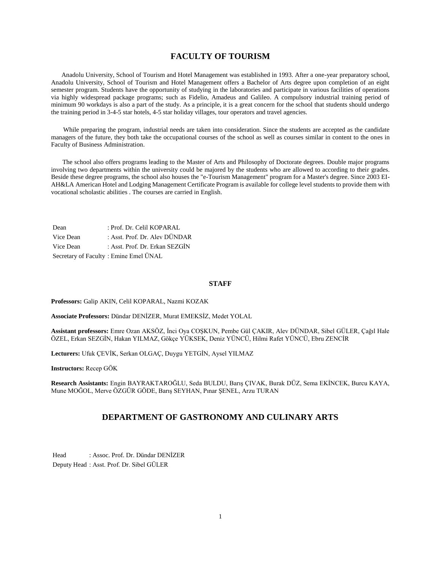# **FACULTY OF TOURISM**

 Anadolu University, School of Tourism and Hotel Management was established in 1993. After a one-year preparatory school, Anadolu University, School of Tourism and Hotel Management offers a Bachelor of Arts degree upon completion of an eight semester program. Students have the opportunity of studying in the laboratories and participate in various facilities of operations via highly widespread package programs; such as Fidelio, Amadeus and Galileo. A compulsory industrial training period of minimum 90 workdays is also a part of the study. As a principle, it is a great concern for the school that students should undergo the training period in 3-4-5 star hotels, 4-5 star holiday villages, tour operators and travel agencies.

 While preparing the program, industrial needs are taken into consideration. Since the students are accepted as the candidate managers of the future, they both take the occupational courses of the school as well as courses similar in content to the ones in Faculty of Business Administration.

 The school also offers programs leading to the Master of Arts and Philosophy of Doctorate degrees. Double major programs involving two departments within the university could be majored by the students who are allowed to according to their grades. Beside these degree programs, the school also houses the "e-Tourism Management" program for a Master's degree. Since 2003 EI-AH&LA American Hotel and Lodging Management Certificate Program is available for college level students to provide them with vocational scholastic abilities . The courses are carried in English.

| Dean      | : Prof. Dr. Celil KOPARAL             |
|-----------|---------------------------------------|
| Vice Dean | : Asst. Prof. Dr. Alev DÜNDAR         |
| Vice Dean | : Asst. Prof. Dr. Erkan SEZGİN        |
|           | Secretary of Faculty: Emine Emel ÜNAL |

### **STAFF**

#### **Professors:** Galip AKIN, Celil KOPARAL, Nazmi KOZAK

**Associate Professors:** Dündar DENİZER, Murat EMEKSİZ, Medet YOLAL

**Assistant professors:** Emre Ozan AKSÖZ, İnci Oya COŞKUN, Pembe Gül ÇAKIR, Alev DÜNDAR, Sibel GÜLER, Çağıl Hale ÖZEL, Erkan SEZGİN, Hakan YILMAZ, Gökçe YÜKSEK, Deniz YÜNCÜ, Hilmi Rafet YÜNCÜ, Ebru ZENCİR

**Lecturers:** Ufuk ÇEVİK, Serkan OLGAÇ, Duygu YETGİN, Aysel YILMAZ

**Instructors:** Recep GÖK

**Research Assistants:** Engin BAYRAKTAROĞLU, Seda BULDU, Barış ÇIVAK, Burak DÜZ, Sema EKİNCEK, Burcu KAYA, Mune MOĞOL, Merve ÖZGÜR GÖDE, Barış SEYHAN, Pınar ŞENEL, Arzu TURAN

# **DEPARTMENT OF GASTRONOMY AND CULINARY ARTS**

Head : Assoc. Prof. Dr. Dündar DENİZER Deputy Head : Asst. Prof. Dr. Sibel GÜLER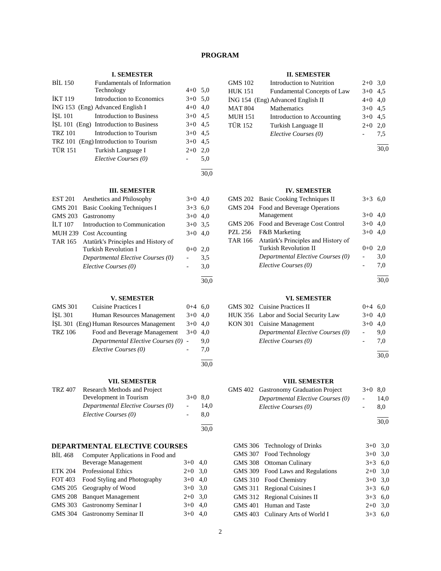# **PROGRAM**

30,0

30,0

30,0

## **I. SEMESTER**

| <b>BIL 150</b> | Fundamentals of Information            |           |     |
|----------------|----------------------------------------|-----------|-----|
|                | Technology                             | $4+0$ 5.0 |     |
| <b>IKT 119</b> | Introduction to Economics              | $3+0$ 5.0 |     |
|                | ING 153 (Eng) Advanced English I       | $4+0$ 4,0 |     |
| <b>ISL 101</b> | Introduction to Business               | $3+0$ 4.5 |     |
|                | ISL 101 (Eng) Introduction to Business | $3+0$ 4.5 |     |
| <b>TRZ 101</b> | Introduction to Tourism                | $3+0$ 4.5 |     |
|                | TRZ 101 (Eng) Introduction to Tourism  | $3+0$ 4.5 |     |
| TÜR 151        | Turkish Language I                     | $2+0$     | 2,0 |
|                | Elective Courses (0)                   |           | 5,0 |
|                |                                        |           |     |

#### **III. SEMESTER**

| EST 201 | Aesthetics and Philosophy                   | $3+0$ 4,0 |     |
|---------|---------------------------------------------|-----------|-----|
| GMS 201 | Basic Cooking Techniques I                  | $3+3$ 6,0 |     |
| GMS 203 | Gastronomy                                  | $3+0$ 4,0 |     |
| ILT 107 | Introduction to Communication               | $3+0$ 3.5 |     |
|         | MUH 239 Cost Accounting                     | $3+0$ 4.0 |     |
|         | TAR 165 Atatürk's Principles and History of |           |     |
|         | <b>Turkish Revolution I</b>                 | $0 + 0$   | 2,0 |
|         | Departmental Elective Courses (0)           |           | 3,5 |
|         | Elective Courses (0)                        |           | 3,0 |
|         |                                             |           |     |

## **V. SEMESTER**

| <b>GMS 301</b> | Cuisine Practices I                      | $0+4$ 6,0 |     |
|----------------|------------------------------------------|-----------|-----|
| <b>ISL 301</b> | Human Resources Management               | $3+0$ 4,0 |     |
|                | ISL 301 (Eng) Human Resources Management | $3+0$ 4,0 |     |
| <b>TRZ 106</b> | Food and Beverage Management             | $3+0$ 4,0 |     |
|                | Departmental Elective Courses (0) -      |           | 9.0 |
|                | Elective Courses (0)                     |           | 7.0 |
|                |                                          |           |     |

## **VII. SEMESTER**

|         | У 11. ОЕЛЛЕР І ЕІЛ                |           |      |
|---------|-----------------------------------|-----------|------|
| TRZ 407 | Research Methods and Project      |           |      |
|         | Development in Tourism            | $3+0$ 8.0 |      |
|         | Departmental Elective Courses (0) |           | 14.0 |
|         | Elective Courses (0)              |           | 8.0  |
|         |                                   |           | 30,0 |

## **DEPARTMENTAL ELECTIVE COURSES**

| <b>BIL 468</b> | Computer Applications in Food and |           |  |
|----------------|-----------------------------------|-----------|--|
|                | <b>Beverage Management</b>        | $3+0$ 4.0 |  |
| ETK 204        | <b>Professional Ethics</b>        | $2+0$ 3.0 |  |
| FOT 403        | Food Styling and Photography      | $3+0$ 4.0 |  |
|                | GMS 205 Geography of Wood         | $3+0$ 3.0 |  |
|                | GMS 208 Banquet Management        | $2+0$ 3.0 |  |
|                | GMS 303 Gastronomy Seminar I      | $3+0$ 4.0 |  |
|                | GMS 304 Gastronomy Seminar II     | $3+0$ 4.0 |  |

## **II. SEMESTER**

| <b>GMS 102</b> | Introduction to Nutrition         | $2+0$ 3,0 |     |
|----------------|-----------------------------------|-----------|-----|
| <b>HUK 151</b> | Fundamental Concepts of Law       | $3+0$ 4.5 |     |
|                | ING 154 (Eng) Advanced English II | $4+0$ 4,0 |     |
| <b>MAT 804</b> | Mathematics                       | $3+0$ 4.5 |     |
| <b>MUH 151</b> | Introduction to Accounting        | $3+0$ 4.5 |     |
| <b>TÜR 152</b> | Turkish Language II               | $2+0$     | 2.0 |
|                | Elective Courses (0)              |           | 7.5 |
|                |                                   |           |     |

30,0

## **IV. SEMESTER**

|                | GMS 202 Basic Cooking Techniques II         | $3+3$ 6.0 |     |
|----------------|---------------------------------------------|-----------|-----|
|                | GMS 204 Food and Beverage Operations        |           |     |
|                | Management                                  | $3+0$ 4.0 |     |
|                | GMS 206 Food and Beverage Cost Control      | $3+0$ 4,0 |     |
| <b>PZL 256</b> | <b>F&amp;B</b> Marketing                    | $3+0$ 4.0 |     |
|                | TAR 166 Atatürk's Principles and History of |           |     |
|                | <b>Turkish Revolution II</b>                | $0+0$     | 2.0 |
|                | Departmental Elective Courses (0)           |           | 3,0 |
|                | Elective Courses (0)                        |           | 7,0 |
|                |                                             |           |     |

30,0

## **VI. SEMESTER**

| GMS 302 Cuisine Practices II          | $0+4$ 6,0 |     |
|---------------------------------------|-----------|-----|
| HUK 356 Labor and Social Security Law | $3+0$ 4.0 |     |
| KON 301 Cuisine Management            | $3+0$ 4.0 |     |
| Departmental Elective Courses (0)     | $\sim$    | 9.0 |
| Elective Courses (0)                  |           | 7.0 |
|                                       |           |     |

30,0

## **VIII. SEMESTER**

|  | VIII. SEMESTER                        |                          |      |
|--|---------------------------------------|--------------------------|------|
|  | GMS 402 Gastronomy Graduation Project | $3+0$ 8.0                |      |
|  | Departmental Elective Courses (0)     | $\overline{\phantom{a}}$ | 14.0 |
|  | Elective Courses (0)                  |                          | 8.0  |
|  |                                       |                          |      |

30,0

| GMS 306 Technology of Drinks      | $3+0$ 3.0 |  |
|-----------------------------------|-----------|--|
| GMS 307 Food Technology           | $3+0$ 3.0 |  |
| GMS 308 Ottoman Culinary          | $3+3$ 6,0 |  |
| GMS 309 Food Laws and Regulations | $2+0$ 3,0 |  |
| GMS 310 Food Chemistry            | $3+0$ 3.0 |  |
| GMS 311 Regional Cuisines I       | $3+3$ 6,0 |  |
| GMS 312 Regional Cuisines II      | $3+3$ 6,0 |  |
| GMS 401 Human and Taste           | $2+0$ 3,0 |  |
| GMS 403 Culinary Arts of World I  | $3+3$ 6.0 |  |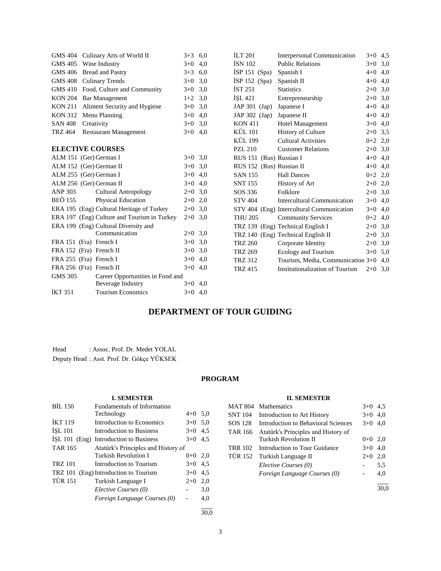| GMS 404        | Culinary Arts of World II                   | $3+3$     | 6,0 | <b>ILT 201</b>           | Interpersonal Communication               | $3+0$ 4.5 |     |
|----------------|---------------------------------------------|-----------|-----|--------------------------|-------------------------------------------|-----------|-----|
| <b>GMS 405</b> | Wine Industry                               | $3+0$     | 4,0 | <b>İSN 102</b>           | <b>Public Relations</b>                   | $3+0$     | 3,0 |
| <b>GMS 406</b> | <b>Bread and Pastry</b>                     | $3 + 3$   | 6.0 | $ISP 151$ (Spa)          | Spanish I                                 | $4 + 0$   | 4,0 |
| <b>GMS 408</b> | <b>Culinary Trends</b>                      | $3+0$     | 3,0 | $ISP 152$ (Spa)          | Spanish II                                | $4+0$ 4,0 |     |
| <b>GMS 410</b> | Food, Culture and Community                 | $3+0$     | 3,0 | <b>IST 251</b>           | <b>Statistics</b>                         | $2+0$     | 3,0 |
| <b>KON 204</b> | <b>Bar Management</b>                       | $1+2$     | 3,0 | ISL 421                  | Entrepreneurship                          | $2+0$     | 3,0 |
| <b>KON 211</b> | Aliment Security and Hygiene                | $3+0$     | 3,0 | $JAP 301$ (Jap)          | Japanese I                                | $4 + 0$   | 4,0 |
| <b>KON 312</b> | Menu Planning                               | $3+0$     | 4,0 | JAP $302$ (Jap)          | Japanese II                               | $4 + 0$   | 4,0 |
| <b>SAN 408</b> | Creativity                                  | $3+0$     | 3,0 | <b>KON 411</b>           | Hotel Management                          | $3+0$ 4,0 |     |
| TRZ 464        | <b>Restaurant Management</b>                | $3+0$     | 4,0 | KÜL 101                  | <b>History of Culture</b>                 | $2+0$     | 3,5 |
|                |                                             |           |     | KÜL 199                  | <b>Cultural Activities</b>                | $0+2$ 2,0 |     |
|                | <b>ELECTIVE COURSES</b>                     |           |     | <b>PZL 210</b>           | <b>Customer Relations</b>                 | $2+0$ 3,0 |     |
|                | ALM 151 (Ger) German I                      | $3+0$ 3,0 |     | RUS 151 (Rus) Russian I  |                                           | $4 + 0$   | 4,0 |
|                | ALM 152 (Ger) German II                     | $3+0$ 3,0 |     | RUS 152 (Rus) Russian II |                                           | $4+0$ 4,0 |     |
|                | ALM 255 (Ger) German I                      | $3+0$     | 4,0 | <b>SAN 155</b>           | <b>Hall Dances</b>                        | $0 + 2$   | 2,0 |
|                | ALM 256 (Ger) German II                     | $3+0$     | 4,0 | <b>SNT 155</b>           | History of Art                            | $2 + 0$   | 2,0 |
| <b>ANP 303</b> | <b>Cultural Antropology</b>                 | $2+0$ 3,0 |     | SOS 336                  | Folklore                                  | $2+0$ 3,0 |     |
| <b>BEÖ 155</b> | <b>Physical Education</b>                   | $2+0$     | 2,0 | <b>STV 404</b>           | Intercultural Communication               | $3 + 0$   | 4,0 |
|                | ERA 195 (Eng) Cultural Heritage of Turkey   | $2+0$ 3.0 |     |                          | STV 404 (Eng) Intercultural Communication | $3 + 0$   | 4,0 |
|                | ERA 197 (Eng) Culture and Tourism in Turkey | $2+0$ 3,0 |     | <b>THU 205</b>           | <b>Community Services</b>                 | $0+2$ 4,0 |     |
|                | ERA 199 (Eng) Cultural Diversity and        |           |     |                          | TRZ 139 (Eng) Technical English I         | $2+0$ 3,0 |     |
|                | Communication                               | $2+0$ 3,0 |     |                          | TRZ 140 (Eng) Technical English II        | $2+0$ 3,0 |     |
|                | FRA 151 (Fra) French I                      | $3+0$     | 3,0 | <b>TRZ 260</b>           | Corporate Identity                        | $2+0$ 3,0 |     |
|                | FRA 152 (Fra) French II                     | $3 + 0$   | 3,0 | <b>TRZ 269</b>           | Ecology and Tourism                       | $3+0$ 5.0 |     |
|                | FRA 255 (Fra) French I                      | $3+0$     | 4,0 | <b>TRZ 312</b>           | Tourism, Media, Communication 3+0         |           | 4,0 |
|                | FRA 256 (Fra) French II                     | $3+0$     | 4,0 | <b>TRZ 415</b>           | Institutionalization of Tourism           | $2+0$ 3,0 |     |
| <b>GMS 305</b> | Career Opportunities in Food and            |           |     |                          |                                           |           |     |
|                | <b>Beverage Industry</b>                    | $3+0$ 4,0 |     |                          |                                           |           |     |
| <b>İKT 351</b> | <b>Tourism Economics</b>                    | $3+0$     | 4,0 |                          |                                           |           |     |

# **DEPARTMENT OF TOUR GUIDING**

| Head | : Assoc. Prof. Dr. Medet YOLAL            |
|------|-------------------------------------------|
|      | Deputy Head: Asst. Prof. Dr. Gökçe YÜKSEK |

## **PROGRAM**

## **I. SEMESTER**

| <b>BIL 150</b> | Fundamentals of Information            |           |     |
|----------------|----------------------------------------|-----------|-----|
|                | Technology                             | $4+0$ 5,0 |     |
| <b>IKT 119</b> | Introduction to Economics              | $3+0$ 5.0 |     |
| <b>ISL 101</b> | Introduction to Business               | $3+0$     | 4,5 |
|                | ISL 101 (Eng) Introduction to Business | $3+0$     | 4,5 |
| <b>TAR 165</b> | Atatürk's Principles and History of    |           |     |
|                | <b>Turkish Revolution I</b>            | $0 + 0$   | 2,0 |
| <b>TRZ 101</b> | Introduction to Tourism                | $3+0$     | 4,5 |
|                | TRZ 101 (Eng) Introduction to Tourism  | $3+0$     | 4.5 |
| <b>TÜR 151</b> | Turkish Language I                     | $2+0$     | 2,0 |
|                | Elective Courses (0)                   |           | 3,0 |
|                | Foreign Language Courses (0)           |           | 4,0 |
|                |                                        |           |     |

**II. SEMESTER**

| <b>MAT 804</b> | <b>Mathematics</b>                  | $3+0$ 4.5 |     |
|----------------|-------------------------------------|-----------|-----|
| <b>SNT 104</b> | Introduction to Art History         | $3+0$ 4.0 |     |
| SOS 128        | Introduction to Behavioral Sciences | $3+0$ 4.0 |     |
| TAR 166        | Atatürk's Principles and History of |           |     |
|                | Turkish Revolution II               | $0+0$ 2,0 |     |
| <b>TRR 102</b> | Introduction to Tour Guidance       | $3+0$ 4.0 |     |
| <b>TÜR 152</b> | Turkish Language II                 | $2+0$     | 2,0 |
|                | Elective Courses (0)                |           | 5,5 |
|                | Foreign Language Courses (0)        |           | 4,0 |
|                |                                     |           |     |
|                |                                     |           |     |

30,0

3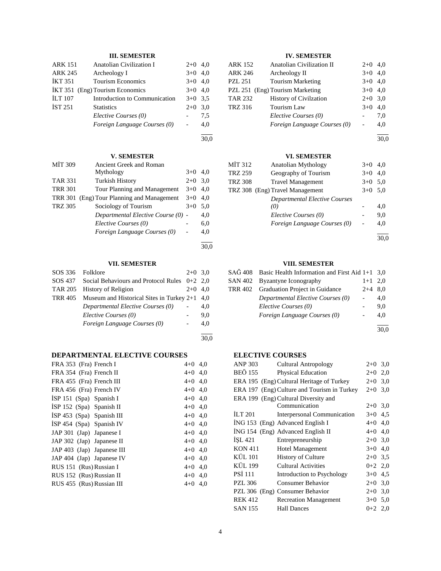## **III. SEMESTER**

| <b>ARK 151</b> | <b>Anatolian Civilization I</b><br>$2+0$ |           |     |  |  |  |  |
|----------------|------------------------------------------|-----------|-----|--|--|--|--|
| <b>ARK 245</b> | Archeology I                             | $3+0$     | 4.0 |  |  |  |  |
| <b>İKT 351</b> | <b>Tourism Economics</b>                 |           |     |  |  |  |  |
| IKT 351        | (Eng) Tourism Economics                  | $3+0$ 4.0 |     |  |  |  |  |
| <b>ILT</b> 107 | Introduction to Communication            | $3+0$ 3.5 |     |  |  |  |  |
| <b>IST 251</b> | <b>Statistics</b>                        | $2+0$     | 3,0 |  |  |  |  |
|                | Elective Courses (0)                     |           | 7.5 |  |  |  |  |
|                | Foreign Language Courses (0)             |           | 4.0 |  |  |  |  |
|                |                                          |           |     |  |  |  |  |

30,0

## **V. SEMESTER**

| MIT 309        | <b>Ancient Greek and Roman</b>     |       |     |
|----------------|------------------------------------|-------|-----|
|                | Mythology                          | $3+0$ | 4.0 |
| <b>TAR 331</b> | <b>Turkish History</b>             | $2+0$ | 3,0 |
| <b>TRR 301</b> | Tour Planning and Management       | $3+0$ | 4.0 |
| <b>TRR 301</b> | (Eng) Tour Planning and Management | $3+0$ | 4,0 |
| <b>TRZ 305</b> | Sociology of Tourism               | $3+0$ | 5,0 |
|                | Departmental Elective Course (0) - |       | 4,0 |
|                | Elective Courses (0)               |       | 6,0 |
|                | Foreign Language Courses (0)       |       | 4,0 |
|                |                                    |       |     |

30,0

30,0

## **VII. SEMESTER**

| SOS 336 | Folklore                                                 | $2+0$ 3.0 |     |  |  |
|---------|----------------------------------------------------------|-----------|-----|--|--|
|         | $SOS 437$ Social Behaviours and Protocol Rules $0+2$ 2.0 |           |     |  |  |
| TAR 205 | <b>History of Religion</b>                               | $2+0$     | 4.0 |  |  |
| TRR 405 | Museum and Historical Sites in Turkey $2+1$ 4,0          |           |     |  |  |
|         | Departmental Elective Courses (0)                        |           | 4.0 |  |  |
|         | Elective Courses (0)                                     |           | 9,0 |  |  |
|         | Foreign Language Courses (0)                             |           | 4.0 |  |  |
|         |                                                          |           |     |  |  |

## **DEPARTMENTAL ELECTIVE COURSES**

| FRA 353 (Fra) French I      | $4+0$ 4,0 |     |
|-----------------------------|-----------|-----|
| FRA 354 (Fra) French II     | $4+0$ 4,0 |     |
| FRA 455 (Fra) French III    | $4+0$ 4,0 |     |
| FRA 456 (Fra) French IV     | $4+0$ 4,0 |     |
| ISP 151 $(Spa)$ Spanish I   | $4+0$ 4,0 |     |
| ISP $152$ (Spa) Spanish II  | $4+0$ 4,0 |     |
| $ISP 453$ (Spa) Spanish III | $4+0$ 4,0 |     |
| $ISP 454$ (Spa) Spanish IV  | $4+0$ 4,0 |     |
| JAP 301 (Jap) Japanese I    | $4+0$ 4,0 |     |
| JAP 302 (Jap) Japanese II   | $4+0$ 4,0 |     |
| JAP 403 (Jap) Japanese III  | $4+0$ 4,0 |     |
| JAP 404 (Jap) Japanese IV   | $4+0$ 4,0 |     |
| RUS 151 (Rus) Russian I     | $4+0$ 4,0 |     |
| RUS 152 (Rus) Russian II    | $4+0$ 4,0 |     |
| RUS 455 (Rus) Russian III   | $4 + 0$   | 4,0 |
|                             |           |     |

## **IV. SEMESTER**

| <b>ARK 152</b>                  | <b>Anatolian Civilization II</b> | $2+0$     | 4.0 |
|---------------------------------|----------------------------------|-----------|-----|
| <b>ARK 246</b>                  | Archeology II                    | $3+0$     | 4.0 |
| <b>PZL 251</b>                  | <b>Tourism Marketing</b>         | $3+0$ 4,0 |     |
| PZL 251 (Eng) Tourism Marketing |                                  | $3+0$ 4,0 |     |
| <b>TAR 232</b>                  | <b>History of Civilzation</b>    | $2+0$     | 3.0 |
| <b>TRZ 316</b>                  | Tourism Law                      | $3+0$     | 4.0 |
|                                 | Elective Courses (0)             |           | 7.0 |
|                                 | Foreign Language Courses (0)     |           | 4.0 |

l 30,0

## **VI. SEMESTER**

| MÎT 312 | Anatolian Mythology                  | $3+0$     | 4.0 |
|---------|--------------------------------------|-----------|-----|
| TRZ 259 | Geography of Tourism                 | $3+0$     | 4.0 |
| TRZ 308 | <b>Travel Management</b>             | $3+0$     | 5,0 |
|         | TRZ 308 (Eng) Travel Management      | $3+0$ 5.0 |     |
|         | <b>Departmental Elective Courses</b> |           |     |
|         | (0)                                  |           | 4.0 |
|         | Elective Courses (0)                 |           | 9,0 |
|         | Foreign Language Courses (0)         |           | 4,0 |
|         |                                      |           |     |

30,0

## **VIII. SEMESTER**

| $SA\ddot{G}$ 408 Basic Health Information and First Aid 1+1 3,0 |           |     |
|-----------------------------------------------------------------|-----------|-----|
| SAN 402 Byzantyne Iconography                                   | $1+1$ 2,0 |     |
| TRR 402 Graduation Project in Guidance                          | $2+4$ 8.0 |     |
| Departmental Elective Courses (0)                               |           | 4.0 |
| Elective Courses (0)                                            |           | 9.0 |
| Foreign Language Courses (0)                                    |           | 4.0 |
|                                                                 |           |     |

30,0

## **ELECTIVE COURSES**

| ANP 303        | Cultural Antropology                        | $2+0$     | 3,0 |
|----------------|---------------------------------------------|-----------|-----|
| <b>BEÖ 155</b> | <b>Physical Education</b>                   | $2+0$     | 2,0 |
|                | ERA 195 (Eng) Cultural Heritage of Turkey   | $2+0$     | 3,0 |
|                | ERA 197 (Eng) Culture and Tourism in Turkey | $2+0$     | 3,0 |
|                | ERA 199 (Eng) Cultural Diversity and        |           |     |
|                | Communication                               | $2+0$ 3,0 |     |
| <b>ILT 201</b> | Interpersonal Communication                 | $3+0$     | 4,5 |
|                | ING 153 (Eng) Advanced English I            | $4 + 0$   | 4,0 |
|                | ING 154 (Eng) Advanced English II           | $4 + 0$   | 4,0 |
| <b>ISL 421</b> | Entrepreneurship                            | $2+0$ 3,0 |     |
| <b>KON 411</b> | <b>Hotel Management</b>                     | $3+0$     | 4,0 |
| KÜL 101        | History of Culture                          | $2+0$ 3.5 |     |
| KÜL 199        | <b>Cultural Activities</b>                  | $0+2$ 2,0 |     |
| <b>PSI 111</b> | Introduction to Psychology                  | $3+0$     | 4,5 |
| <b>PZL 306</b> | Consumer Behavior                           | $2+0$     | 3,0 |
|                | PZL 306 (Eng) Consumer Behavior             | $2+0$     | 3,0 |
| <b>REK 412</b> | <b>Recreation Management</b>                | $3+0$     | 5,0 |
| <b>SAN 155</b> | <b>Hall Dances</b>                          | $0+2$ 2,0 |     |
|                |                                             |           |     |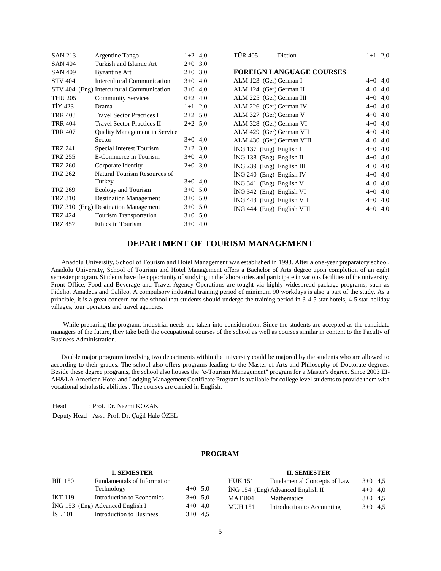| <b>SAN 213</b> | Argentine Tango                           | $1+2$ 4,0 | <b>TÜR 405</b><br>Diction       | $1+1$ 2,0 |  |
|----------------|-------------------------------------------|-----------|---------------------------------|-----------|--|
| <b>SAN 404</b> | Turkish and Islamic Art                   | $2+0$ 3.0 |                                 |           |  |
| <b>SAN 409</b> | <b>Byzantine Art</b>                      | $2+0$ 3.0 | <b>FOREIGN LANGUAGE COURSES</b> |           |  |
| <b>STV 404</b> | Intercultural Communication               | $3+0$ 4,0 | ALM 123 (Ger) German I          | $4+0$ 4,0 |  |
|                | STV 404 (Eng) Intercultural Communication | $3+0$ 4,0 | ALM 124 (Ger) German II         | $4+0$ 4,0 |  |
| <b>THU 205</b> | <b>Community Services</b>                 | $0+2$ 4,0 | ALM 225 (Ger) German III        | $4+0$ 4,0 |  |
| <b>TİY 423</b> | Drama                                     | $1+1$ 2,0 | ALM 226 (Ger) German IV         | $4+0$ 4,0 |  |
| <b>TRR 403</b> | <b>Travel Sector Practices I</b>          | $2+2$ 5.0 | ALM 327 (Ger) German V          | $4+0$ 4,0 |  |
| <b>TRR 404</b> | <b>Travel Sector Practices II</b>         | $2+2$ 5.0 | ALM 328 (Ger) German VI         | $4+0$ 4,0 |  |
| <b>TRR 407</b> | <b>Quality Management in Service</b>      |           | ALM 429 (Ger) German VII        | $4+0$ 4,0 |  |
|                | Sector                                    | $3+0$ 4,0 | ALM 430 (Ger) German VIII       | $4+0$ 4,0 |  |
| <b>TRZ 241</b> | Special Interest Tourism                  | $2+2$ 3,0 | $ING 137$ (Eng) English I       | $4+0$ 4,0 |  |
| <b>TRZ 255</b> | E-Commerce in Tourism                     | $3+0$ 4,0 | İNG 138 (Eng) English II        | $4+0$ 4,0 |  |
| <b>TRZ 260</b> | Corporate Identity                        | $2+0$ 3.0 | İNG 239 (Eng) English III       | $4+0$ 4,0 |  |
| <b>TRZ 262</b> | Natural Tourism Resources of              |           | İNG 240 (Eng) English IV        | $4+0$ 4,0 |  |
|                | Turkey                                    | $3+0$ 4,0 | $ING 341$ (Eng) English V       | $4+0$ 4,0 |  |
| <b>TRZ 269</b> | Ecology and Tourism                       | $3+0$ 5.0 | $ING 342$ (Eng) English VI      | $4+0$ 4,0 |  |
| <b>TRZ 310</b> | <b>Destination Management</b>             | $3+0$ 5,0 | İNG 443 (Eng) English VII       | $4+0$ 4,0 |  |
|                | TRZ 310 (Eng) Destination Management      | $3+0$ 5.0 | $ING 444$ (Eng) English VIII    | $4+0$ 4,0 |  |
| <b>TRZ 424</b> | Tourism Transportation                    | $3+0$ 5,0 |                                 |           |  |
| <b>TRZ 457</b> | Ethics in Tourism                         | $3+0$ 4,0 |                                 |           |  |
|                |                                           |           |                                 |           |  |

# **DEPARTMENT OF TOURISM MANAGEMENT**

 Anadolu University, School of Tourism and Hotel Management was established in 1993. After a one-year preparatory school, Anadolu University, School of Tourism and Hotel Management offers a Bachelor of Arts degree upon completion of an eight semester program. Students have the opportunity of studying in the laboratories and participate in various facilities of the university. Front Office, Food and Beverage and Travel Agency Operations are tought via highly widespread package programs; such as Fidelio, Amadeus and Galileo. A compulsory industrial training period of minimum 90 workdays is also a part of the study. As a principle, it is a great concern for the school that students should undergo the training period in 3-4-5 star hotels, 4-5 star holiday villages, tour operators and travel agencies.

 While preparing the program, industrial needs are taken into consideration. Since the students are accepted as the candidate managers of the future, they take both the occupational courses of the school as well as courses similar in content to the Faculty of Business Administration.

 Double major programs involving two departments within the university could be majored by the students who are allowed to according to their grades. The school also offers programs leading to the Master of Arts and Philosophy of Doctorate degrees. Beside these degree programs, the school also houses the "e-Tourism Management" program for a Master's degree. Since 2003 EI-AH&LA American Hotel and Lodging Management Certificate Program is available for college level students to provide them with vocational scholastic abilities . The courses are carried in English.

Head : Prof. Dr. Nazmi KOZAK

Deputy Head : Asst. Prof. Dr. Çağıl Hale ÖZEL

## **PROGRAM**

## **I. SEMESTER** BİL 150 Fundamentals of Information Technology  $4+0$  5,0 İKT 119 Introduction to Economics 3+0 5,0  $i$ NG 153 (Eng) Advanced English I 4+0 4,0  $\text{ISL } 101$  Introduction to Business  $3+0$  4.5

# **II. SEMESTER** HUK 151 Fundamental Concepts of Law 3+0 4,5

| ING 154 (Eng) Advanced English II | $4+0$ 4,0                  |           |  |
|-----------------------------------|----------------------------|-----------|--|
| MAT 804                           | Mathematics                | $3+0$ 4.5 |  |
| <b>MUH 151</b>                    | Introduction to Accounting | $3+0$ 4.5 |  |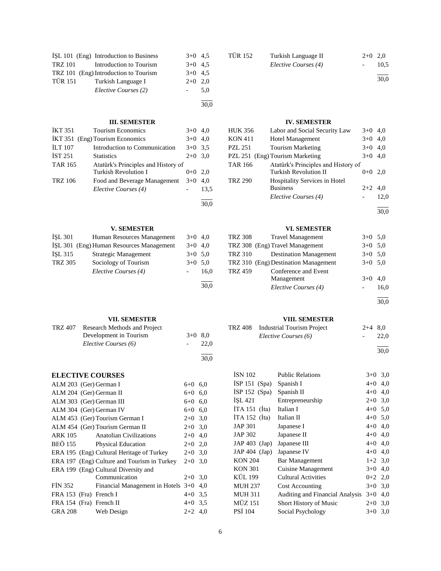|                | ISL 101 (Eng) Introduction to Business | $3+0$ 4.5 |     |
|----------------|----------------------------------------|-----------|-----|
| TRZ 101        | Introduction to Tourism                | $3+0$ 4.5 |     |
|                | TRZ 101 (Eng) Introduction to Tourism  | $3+0$ 4.5 |     |
| <b>TÜR 151</b> | Turkish Language I                     | $2+0$ 2,0 |     |
|                | Elective Courses (2)                   |           | 5.0 |
|                |                                        |           |     |

## **III. SEMESTER**

30,0

30,0

30,0

30,0

| <b>İKT 351</b> | <b>Tourism Economics</b>            | $3+0$ 4.0 |      |
|----------------|-------------------------------------|-----------|------|
|                | IKT 351 (Eng) Tourism Economics     | $3+0$ 4.0 |      |
| <b>ILT 107</b> | Introduction to Communication       | $3+0$ 3.5 |      |
| <b>IST 251</b> | <b>Statistics</b>                   | $2+0$ 3.0 |      |
| <b>TAR 165</b> | Atatürk's Principles and History of |           |      |
|                | <b>Turkish Revolution I</b>         | $0+0$     | 2.0  |
| <b>TRZ</b> 106 | Food and Beverage Management        | $3+0$     | 4.0  |
|                | Elective Courses (4)                |           | 13.5 |
|                |                                     |           |      |

## **V. SEMESTER**

| <b>ISL 301</b> | Human Resources Management               | $3+0$ 4.0 |      |
|----------------|------------------------------------------|-----------|------|
|                | İŞL 301 (Eng) Human Resources Management | $3+0$ 4.0 |      |
| $ISL$ 315      | Strategic Management                     | $3+0$ 5.0 |      |
| <b>TRZ 305</b> | Sociology of Tourism                     | $3+0$ 5.0 |      |
|                | Elective Courses (4)                     |           | 16.0 |
|                |                                          |           |      |

## **VII. SEMESTER**

| TRZ 407 | Research Methods and Project |           |      |  |  |
|---------|------------------------------|-----------|------|--|--|
|         | Development in Tourism       | $3+0$ 8.0 |      |  |  |
|         | Elective Courses (6)         |           | 22.0 |  |  |
|         |                              |           |      |  |  |

## **ELECTIVE COURSES**

| ALM 203 (Ger) German I   |                                             | $6+0$ 6.0 |     |
|--------------------------|---------------------------------------------|-----------|-----|
| ALM 204 (Ger) German II  |                                             | $6+0$ 6.0 |     |
| ALM 303 (Ger) German III |                                             | $6+0$ 6.0 |     |
| ALM 304 (Ger) German IV  |                                             | $6+0$ 6.0 |     |
|                          | ALM 453 (Ger) Tourism German I              | $2+0$ 3.0 |     |
|                          | ALM 454 (Ger) Tourism German II             | $2+0$ 3.0 |     |
| <b>ARK 105</b>           | Anatolian Civilizations                     | $2+0$ 4,0 |     |
| <b>BEÖ 155</b>           | <b>Physical Education</b>                   | $2+0$ 2.0 |     |
|                          | ERA 195 (Eng) Cultural Heritage of Turkey   | $2+0$ 3.0 |     |
|                          | ERA 197 (Eng) Culture and Tourism in Turkey | $2+0$ 3.0 |     |
|                          | ERA 199 (Eng) Cultural Diversity and        |           |     |
|                          | Communication                               | $2+0$ 3.0 |     |
| FIN 352                  | Financial Management in Hotels $3+0$        |           | 4.0 |
| FRA 153 (Fra) French I   |                                             | $4+0$ 3.5 |     |
| FRA 154 (Fra) French II  |                                             | $4+0$ 3.5 |     |
| GRA 208 Web Design       |                                             | $2+2$ 4.0 |     |

## TÜR 152 Turkish Language II 2+0 2,0<br>Elective Courses (4) 10,5 *Elective Courses (4)* l

30,0

## **IV. SEMESTER**

| HUK 356        | Labor and Social Security Law        | $3+0$ 4,0 |      |
|----------------|--------------------------------------|-----------|------|
| <b>KON 411</b> | <b>Hotel Management</b>              | $3+0$ 4,0 |      |
| PZL 251        | <b>Tourism Marketing</b>             | $3+0$ 4,0 |      |
|                | PZL 251 (Eng) Tourism Marketing      | $3+0$ 4.0 |      |
| TAR 166        | Atatürk's Principles and History of  |           |      |
|                | <b>Turkish Revolution II</b>         | $0 + 0$   | 2.0  |
| TRZ 290        | <b>Hospitality Services in Hotel</b> |           |      |
|                | <b>Business</b>                      | $2+2$ 4,0 |      |
|                | Elective Courses (4)                 |           | 12,0 |
|                |                                      |           |      |

30,0

## **VI. SEMESTER**

| <b>TRZ 308</b> | <b>Travel Management</b>             | $3+0$ 5.0 |      |
|----------------|--------------------------------------|-----------|------|
|                | TRZ 308 (Eng) Travel Management      | $3+0$ 5.0 |      |
| TRZ 310        | <b>Destination Management</b>        | $3+0$ 5.0 |      |
|                | TRZ 310 (Eng) Destination Management | $3+0$ 5.0 |      |
| <b>TRZ 459</b> | Conference and Event                 |           |      |
|                | Management                           | $3+0$ 4,0 |      |
|                | Elective Courses (4)                 |           | 16.0 |

l 30,0

## **VIII. SEMESTER**

| TRZ 408 Industrial Tourism Project | $2+4$ 8.0 |      |
|------------------------------------|-----------|------|
| Elective Courses (6)               | $\sim$    | 22.0 |
|                                    |           |      |

30,0

| <b>ISN 102</b>  | <b>Public Relations</b>                | $3+0$ 3.0 |     |
|-----------------|----------------------------------------|-----------|-----|
| $ISP 151$ (Spa) | Spanish I                              | $4 + 0$   | 4,0 |
| İSP 152 (Spa)   | Spanish II                             | $4 + 0$   | 4,0 |
| <b>ISL 421</b>  | Entrepreneurship                       | $2+0$     | 3,0 |
| $ITA 151$ (Ita) | Italian I                              | $4 + 0$   | 5,0 |
| $ITA 152$ (Ita) | Italian II                             | $4+0$ 5,0 |     |
| <b>JAP 301</b>  | Japanese I                             | $4 + 0$   | 4,0 |
| JAP 302         | Japanese II                            | $4 + 0$   | 4,0 |
| $JAP 403$ (Jap) | Japanese III                           | $4 + 0$   | 4,0 |
| $JAP 404$ (Jap) | Japanese IV                            | $4 + 0$   | 4,0 |
| <b>KON 204</b>  | <b>Bar Management</b>                  | $1+2$ 3,0 |     |
| <b>KON 301</b>  | Cuisine Management                     | $3+0$ 4,0 |     |
| KÜL 199         | <b>Cultural Activities</b>             | $0+2$ 2,0 |     |
| <b>MUH 237</b>  | <b>Cost Accounting</b>                 | $3+0$     | 3,0 |
| <b>MUH 311</b>  | <b>Auditing and Financial Analysis</b> | $3+0$     | 4,0 |
| <b>MÜZ 151</b>  | Short History of Music                 | $2+0$     | 3,0 |
| <b>PSI</b> 104  | Social Psychology                      | $3+0$     | 3,0 |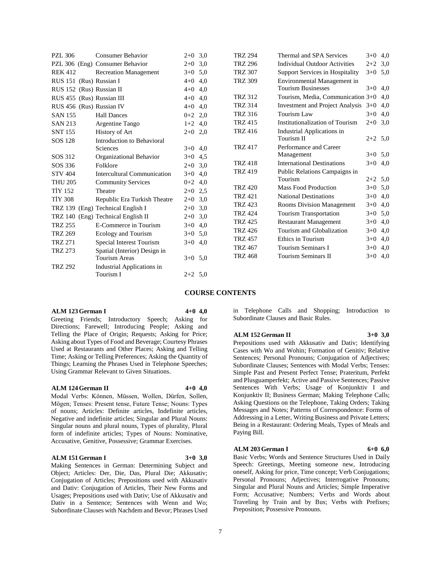| PZL 306                   | <b>Consumer Behavior</b>           | $2+0$ 3,0 |     | <b>TRZ 294</b> | Thermal and SPA Services                  | $3+0$ 4,0 |     |
|---------------------------|------------------------------------|-----------|-----|----------------|-------------------------------------------|-----------|-----|
|                           | PZL 306 (Eng) Consumer Behavior    | $2+0$     | 3,0 | <b>TRZ 296</b> | <b>Individual Outdoor Activities</b>      | $2+2$     | 3,0 |
| <b>REK 412</b>            | <b>Recreation Management</b>       | $3+0$ 5.0 |     | <b>TRZ 307</b> | <b>Support Services in Hospitality</b>    | $3+0$ 5.0 |     |
| RUS 151 (Rus) Russian I   |                                    | $4+0$ 4,0 |     | <b>TRZ 309</b> | Environmental Management in               |           |     |
| RUS 152 (Rus) Russian II  |                                    | $4+0$ 4,0 |     |                | <b>Tourism Businesses</b>                 | $3+0$ 4,0 |     |
| RUS 455 (Rus) Russian III |                                    | $4 + 0$   | 4,0 | <b>TRZ 312</b> | Tourism, Media, Communication 3+0 4,0     |           |     |
| RUS 456 (Rus) Russian IV  |                                    | $4 + 0$   | 4,0 | <b>TRZ 314</b> | Investment and Project Analysis $3+0$ 4,0 |           |     |
| <b>SAN 155</b>            | <b>Hall Dances</b>                 | $0+2$ 2,0 |     | <b>TRZ 316</b> | Tourism Law                               | $3+0$ 4,0 |     |
| <b>SAN 213</b>            | Argentine Tango                    | $1+2$ 4,0 |     | <b>TRZ 415</b> | Institutionalization of Tourism           | $2+0$ 3,0 |     |
| <b>SNT 155</b>            | History of Art                     | $2+0$ 2,0 |     | <b>TRZ 416</b> | Industrial Applications in                |           |     |
| SOS 128                   | Introduction to Behavioral         |           |     |                | Tourism II                                | $2+2$ 5.0 |     |
|                           | Sciences                           | $3+0$ 4,0 |     | <b>TRZ 417</b> | Performance and Career                    |           |     |
| SOS 312                   | Organizational Behavior            | $3+0$ 4.5 |     |                | Management                                | $3+0$ 5.0 |     |
| SOS 336                   | Folklore                           | $2+0$ 3,0 |     | <b>TRZ 418</b> | <b>International Destinations</b>         | $3+0$ 4,0 |     |
| <b>STV 404</b>            | Intercultural Communication        | $3+0$     | 4.0 | <b>TRZ 419</b> | Public Relations Campaigns in             |           |     |
| <b>THU 205</b>            | <b>Community Services</b>          | $0+2$ 4,0 |     |                | Tourism                                   | $2+2$ 5,0 |     |
| <b>TIY 152</b>            | Theatre                            | $2+0$ 2.5 |     | <b>TRZ 420</b> | <b>Mass Food Production</b>               | $3+0$ 5,0 |     |
| <b>TIY 308</b>            | Republic Era Turkish Theatre       | $2+0$ 3,0 |     | <b>TRZ 421</b> | <b>National Destinations</b>              | $3+0$ 4,0 |     |
|                           | TRZ 139 (Eng) Technical English I  | $2+0$ 3,0 |     | <b>TRZ 423</b> | <b>Rooms Division Management</b>          | $3+0$ 4,0 |     |
|                           | TRZ 140 (Eng) Technical English II | $2+0$ 3.0 |     | <b>TRZ 424</b> | Tourism Transportation                    | $3+0$ 5,0 |     |
| <b>TRZ 255</b>            | E-Commerce in Tourism              | $3+0$ 4,0 |     | <b>TRZ 425</b> | <b>Restaurant Management</b>              | $3+0$ 4,0 |     |
| <b>TRZ 269</b>            | Ecology and Tourism                | $3+0$ 5.0 |     | <b>TRZ 426</b> | Tourism and Globalization                 | $3+0$ 4,0 |     |
| <b>TRZ 271</b>            | Special Interest Tourism           | $3+0$ 4,0 |     | <b>TRZ 457</b> | Ethics in Tourism                         | $3+0$ 4,0 |     |
| <b>TRZ 273</b>            | Spatial (Interior) Design in       |           |     | <b>TRZ 467</b> | Tourism Seminars I                        | $3+0$ 4,0 |     |
|                           | <b>Tourism Areas</b>               | $3+0$ 5.0 |     | <b>TRZ 468</b> | Tourism Seminars II                       | $3+0$ 4,0 |     |
| <b>TRZ 292</b>            | Industrial Applications in         |           |     |                |                                           |           |     |
|                           | Tourism I                          | $2+2$ 5.0 |     |                |                                           |           |     |

### **COURSE CONTENTS**

#### **ALM 123 German I 4+0 4,0**

Greeting Friends; Introductory Speech; Asking for Directions; Farewell; Introducing People; Asking and Telling the Place of Origin; Requests; Asking for Price; Asking about Types of Food and Beverage; Courtesy Phrases Used at Restaurants and Other Places; Asking and Telling Time; Asking or Telling Preferences; Asking the Quantity of Things; Learning the Phrases Used in Telephone Speeches; Using Grammar Relevant to Given Situations.

#### **ALM 124 German II 4+0 4,0**

Modal Verbs: Können, Müssen, Wollen, Dürfen, Sollen, Mögen; Tenses: Present tense, Future Tense; Nouns: Types of nouns; Articles: Definite articles, Indefinite articles, Negative and indefinite articles; Singular and Plural Nouns: Singular nouns and plural nouns, Types of plurality, Plural form of indefinite articles; Types of Nouns: Nominative, Accusative, Genitive, Possessive; Grammar Exercises.

#### **ALM 151 German I 3+0 3,0**

Making Sentences in German: Determining Subject and Object; Articles: Der, Die, Das, Plural Die; Akkusativ; Conjugation of Articles; Prepositions used with Akkusativ and Dativ: Conjugation of Articles, Their New Forms and Usages; Prepositions used with Dativ; Use of Akkusativ and Dativ in a Sentence; Sentences with Wenn and Wo; Subordinate Clauses with Nachdem and Bevor; Phrases Used

in Telephone Calls and Shopping; Introduction to Subordinate Clauses and Basic Rules.

## **ALM 152 German II 3+0 3,0**

Prepositions used with Akkusativ and Dativ; Identifying Cases with Wo and Wohin; Formation of Genitiv; Relative Sentences; Personal Pronouns; Conjugation of Adjectives; Subordinate Clauses; Sentences with Modal Verbs; Tenses: Simple Past and Present Perfect Tense; Prateritum, Perfekt and Plusguamperfekt; Active and Passive Sentences; Passive Sentences With Verbs; Usage of Konjunktiv I and Konjunktiv II; Business German; Making Telephone Calls; Asking Questions on the Telephone, Taking Orders; Taking Messages and Notes; Patterns of Correspondence: Forms of Addressing in a Letter, Writing Business and Private Letters; Being in a Restaurant: Ordering Meals, Types of Meals and Paying Bill.

## **ALM 203 German I 6+0 6,0**

Basic Verbs; Words and Sentence Structures Used in Daily Speech: Greetings, Meeting someone new, Introducing oneself, Asking for price, Time concept; Verb Conjugations; Personal Pronouns; Adjectives; Interrogative Pronouns; Singular and Plural Nouns and Articles; Simple Imperative Form; Accusative; Numbers; Verbs and Words about Traveling by Train and by Bus; Verbs with Prefixes; Preposition; Possessive Pronouns.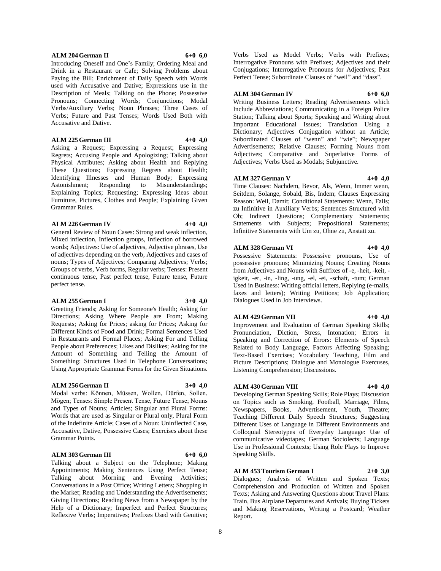#### **ALM 204 German II 6+0 6,0**

Introducing Oneself and One's Family; Ordering Meal and Drink in a Restaurant or Cafe; Solving Problems about Paying the Bill; Enrichment of Daily Speech with Words used with Accusative and Dative; Expressions use in the Description of Meals; Talking on the Phone; Possessive Pronouns; Connecting Words; Conjunctions; Modal Verbs/Auxiliary Verbs; Noun Phrases; Three Cases of Verbs; Future and Past Tenses; Words Used Both with Accusative and Dative.

#### **ALM 225 German III 4+0 4,0**

Asking a Request; Expressing a Request; Expressing Regrets; Accusing People and Apologizing; Talking about Physical Attributes; Asking about Health and Replying These Questions; Expressing Regrets about Health; Identifying Illnesses and Human Body; Expressing Astonishment; Responding to Misunderstandings; Explaining Topics; Requesting; Expressing Ideas about Furniture, Pictures, Clothes and People; Explaining Given Grammar Rules.

#### **ALM 226 German IV 4+0 4,0**

General Review of Noun Cases: Strong and weak inflection, Mixed inflection, Inflection groups, Inflection of borrowed words; Adjectives: Use of adjectives, Adjective phrases, Use of adjectives depending on the verb, Adjectives and cases of nouns; Types of Adjectives; Comparing Adjectives; Verbs; Groups of verbs, Verb forms, Regular verbs; Tenses: Present continuous tense, Past perfect tense, Future tense, Future perfect tense.

#### **ALM 255 German I 3+0 4,0**

Greeting Friends; Asking for Someone's Health; Asking for Directions; Asking Where People are From; Making Requests; Asking for Prices; asking for Prices; Asking for Different Kinds of Food and Drink; Formal Sentences Used in Restaurants and Formal Places; Asking For and Telling People about Preferences; Likes and Dislikes; Asking for the Amount of Something and Telling the Amount of Something: Structures Used in Telephone Conversations; Using Appropriate Grammar Forms for the Given Situations.

#### **ALM 256 German II 3+0 4,0**

Modal verbs: Können, Müssen, Wollen, Dürfen, Sollen, Mögen; Tenses: Simple Present Tense, Future Tense; Nouns and Types of Nouns; Articles; Singular and Plural Forms: Words that are used as Singular or Plural only, Plural Form of the Indefinite Article; Cases of a Noun: Uninflected Case, Accusative, Dative, Possessive Cases; Exercises about these Grammar Points.

#### **ALM 303 German III 6+0 6,0**

Talking about a Subject on the Telephone; Making Appointments; Making Sentences Using Perfect Tense; Talking about Morning and Evening Activities; Conversations in a Post Office; Writing Letters; Shopping in the Market; Reading and Understanding the Advertisements; Giving Directions; Reading News from a Newspaper by the Help of a Dictionary; Imperfect and Perfect Structures; Reflexive Verbs; Imperatives; Prefixes Used with Genitive;

Verbs Used as Model Verbs; Verbs with Prefixes; Interrogative Pronouns with Prefixes; Adjectives and their Conjugations; Interrogative Pronouns for Adjectives; Past Perfect Tense; Subordinate Clauses of "weil" and "dass".

#### **ALM 304 German IV 6+0 6,0**

Writing Business Letters; Reading Advertisements which Include Abbreviations; Communicating in a Foreign Police Station; Talking about Sports; Speaking and Writing about Important Educational Issues; Translation Using a Dictionary; Adjectives Conjugation without an Article; Subordinated Clauses of "wenn" and "wie"; Newspaper Advertisements; Relative Clauses; Forming Nouns from Adjectives; Comparative and Superlative Forms of Adjectives; Verbs Used as Modals; Subjunctive.

#### **ALM 327 German V 4+0 4,0**

Time Clauses: Nachdem, Bevor, Als, Wenn, Immer wenn, Seitdem, Solange, Sobald, Bis, Indem; Clauses Expressing Reason: Weil, Damit; Conditional Statements: Wenn, Falls; zu Infinitive in Auxiliary Verbs; Sentences Structured with Ob; Indirect Questions; Complementary Statements; Statements with Subjects; Prepositional Statements; Infinitive Statements with Um zu, Ohne zu, Anstatt zu.

#### **ALM 328 German VI 4+0 4,0**

Possessive Statements: Possessive pronouns, Use of possessive pronouns; Minimizing Nouns; Creating Nouns from Adjectives and Nouns with Suffixes of -e, -heit, -keit, igkeit, -er, -in, -ling, -ung, -el, -ei, -schaft, -tum; German Used in Business: Writing official letters, Replying (e-mails, faxes and letters); Writing Petitions; Job Application; Dialogues Used in Job Interviews.

#### **ALM 429 German VII 4+0 4,0**

Listening Comprehension; Discussions.

Improvement and Evaluation of German Speaking Skills; Pronunciation, Diction, Stress, Intonation; Errors in Speaking and Correction of Errors: Elements of Speech Related to Body Language, Factors Affecting Speaking; Text-Based Exercises; Vocabulary Teaching, Film and

#### **ALM 430 German VIII 4+0 4,0**

Developing German Speaking Skills; Role Plays; Discussion on Topics such as Smoking, Football, Marriage, Films, Newspapers, Books, Advertisement, Youth, Theatre; Teaching Different Daily Speech Structures; Suggesting Different Uses of Language in Different Environments and Colloquial Stereotypes of Everyday Language: Use of communicative videotapes; German Sociolects; Language Use in Professional Contexts; Using Role Plays to Improve Speaking Skills.

#### **ALM 453 Tourism German I 2+0 3,0**

Dialogues; Analysis of Written and Spoken Texts; Comprehension and Production of Written and Spoken Texts; Asking and Answering Questions about Travel Plans: Train, Bus Airplane Departures and Arrivals; Buying Tickets and Making Reservations, Writing a Postcard; Weather Report.

# Picture Descriptions; Dialogue and Monologue Exercuses,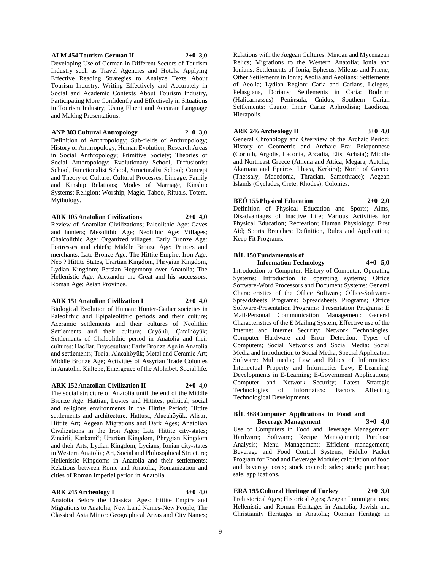#### **ALM 454 Tourism German II 2+0 3,0**

Developing Use of German in Different Sectors of Tourism Industry such as Travel Agencies and Hotels: Applying Effective Reading Strategies to Analyze Texts About Tourism Industry, Writing Effectively and Accurately in Social and Academic Contexts About Tourism Industry, Participating More Confidently and Effectively in Situations in Tourism Industry; Using Fluent and Accurate Language and Making Presentations.

**ANP 303 Cultural Antropology 2+0 3,0**

Definition of Anthropology; Sub-fields of Anthropology; History of Anthropology; Human Evolution; Research Areas in Social Anthropology; Primitive Society; Theories of Social Anthropology: Evolutionary School, Diffusionist School, Functionalist School, Structuralist School; Concept and Theory of Culture: Cultural Processes; Lineage, Family and Kinship Relations; Modes of Marriage, Kinship Systems; Religion: Worship, Magic, Taboo, Rituals, Totem, Mythology.

#### **ARK 105 Anatolian Civilizations 2+0 4,0**

Review of Anatolian Civilizations; Paleolithic Age: Caves and hunters; Mesolithic Age; Neolithic Age: Villages; Chalcolithic Age: Organized villages; Early Bronze Age: Fortresses and chiefs; Middle Bronze Age: Princes and merchants; Late Bronze Age: The Hittite Empire; Iron Age: Neo ? Hittite States, Urartian Kingdom, Phrygian Kingdom, Lydian Kingdom; Persian Hegemony over Anatolia; The Hellenistic Age: Alexander the Great and his successors; Roman Age: Asian Province.

## **ARK 151 Anatolian Civilization I 2+0 4,0**

Biological Evolution of Human; Hunter-Gather societies in Paleolithic and Epipaleolithic periods and their culture; Aceramic settlements and their cultures of Neolithic Settlements and their culture; Cayönü, Çatalhöyük; Settlements of Chalcolithic period in Anatolia and their cultures: Hacİlar, Beycesultan; Early Bronze Age in Anatolia and settlements; Troia, Alacahöyük; Metal and Ceramic Art; Middle Bronze Age; Activities of Assyrian Trade Colonies in Anatolia: Kültepe; Emergence of the Alphabet, Social life.

#### **ARK 152 Anatolian Civilization II 2+0 4,0**

The social structure of Anatolia until the end of the Middle Bronze Age: Hattian, Luvies and Hittites; political, social and religious environments in the Hittite Period; Hittite settlements and architecture: Hattusa, Alacahöyük, Alisar; Hittite Art; Aegean Migrations and Dark Ages; Anatolian Civilizations in the Iron Ages; Late Hittite city-states; Zincirli, Karkamiº; Urartian Kingdom, Phrygian Kingdom and their Arts; Lydian Kingdom; Lycians; Ionian city-states in Western Anatolia; Art, Social and Philosophical Structure; Hellenistic Kingdoms in Anatolia and their settlements; Relations between Rome and Anatolia; Romanization and cities of Roman Imperial period in Anatolia.

## **ARK 245 Archeology I 3+0 4,0**

Anatolia Before the Classical Ages: Hittite Empire and Migrations to Anatolia; New Land Names-New People; The Classical Asia Minor: Geographical Areas and City Names;

Relations with the Aegean Cultures: Minoan and Mycenaean Relics; Migrations to the Western Anatolia; Ionia and Ionians: Settlements of Ionia, Ephesus, Miletus and Priene; Other Settlements in Ionia; Aeolia and Aeolians: Settlements of Aeolia; Lydian Region: Caria and Carians, Leleges, Pelasgians, Dorians; Settlements in Caria: Bodrum (Halicarnassus) Peninsula, Cnidus; Southern Carian Settlements: Cauno; Inner Caria: Aphrodisia; Laodicea, Hierapolis.

## **ARK 246 Archeology II 3+0 4,0**

General Chronology and Overview of the Archaic Period; History of Geometric and Archaic Era: Peloponnese (Corinth, Argolis, Laconia, Arcadia, Elis, Achaia); Middle and Northeast Greece (Athena and Attica, Megara, Aetolia, Akarnaia and Epeiros, Ithaca, Kerkira); North of Greece (Thessaly, Macedonia, Thracian, Samothrace); Aegean Islands (Cyclades, Crete, Rhodes); Colonies.

**BEÖ 155 Physical Education 2+0 2,0**

Definition of Physical Education and Sports; Aims, Disadvantages of Inactive Life; Various Activities for Physical Education; Recreation; Human Physiology; First Aid; Sports Branches: Definition, Rules and Application; Keep Fit Programs.

#### **BİL 150 Fundamentals of**

**Information Technology 4+0 5,0** Introduction to Computer: History of Computer; Operating Systems: Introduction to operating systems; Office Software-Word Processors and Document Systems: General Characteristics of the Office Software; Office-Software-Spreadsheets Programs: Spreadsheets Programs; Office Software-Presentation Programs: Presentation Programs; E Mail-Personal Communication Management: General Characteristics of the E Mailing System; Effective use of the Internet and Internet Security; Network Technologies. Computer Hardware and Error Detection: Types of Computers; Social Networks and Social Media: Social Media and Introduction to Social Media; Special Application Software: Multimedia: Law and Ethics of Informatics: Intellectual Property and Informatics Law; E-Learning: Developments in E-Learning; E-Government Applications; Computer and Network Security; Latest Strategic Technologies of Informatics: Factors Affecting Technological Developments.

#### **BİL 468 Computer Applications in Food and Beverage Management 3+0 4,0**

Use of Computers in Food and Beverage Management; Hardware; Software; Recipe Management; Purchase Analysis; Menu Management; Efficient management; Beverage and Food Control Systems; Fidelio Packet Program for Food and Beverage Module; calculation of food and beverage costs; stock control; sales; stock; purchase; sale; applications.

## **ERA 195 Cultural Heritage of Turkey 2+0 3,0**

Prehistorical Ages; Historical Ages; Aegean Immmigrations; Hellenistic and Roman Heritages in Anatolia; Jewish and Christianity Heritages in Anatolia; Otoman Heritage in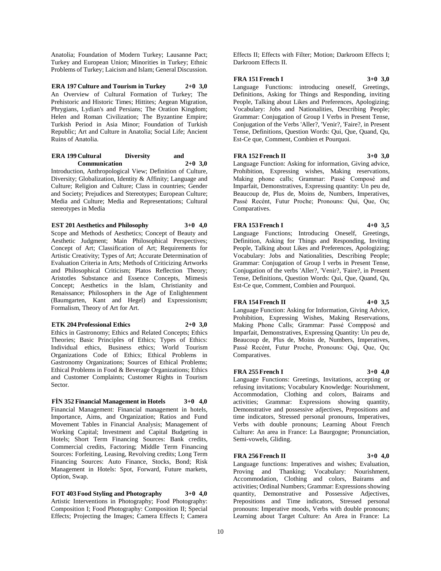Anatolia; Foundation of Modern Turkey; Lausanne Pact; Turkey and European Union; Minorities in Turkey; Ethnic Problems of Turkey; Laicism and Islam; General Discussion.

**ERA 197 Culture and Tourism in Turkey 2+0 3,0** An Overview of Cultural Formation of Turkey; The Prehistoric and Historic Times; Hittites; Aegean Migration, Phrygians, Lydian's and Persians; The Oration Kingdom; Helen and Roman Civilization; The Byzantine Empire; Turkish Period in Asia Minor; Foundation of Turkish Republic; Art and Culture in Anatolia; Social Life; Ancient Ruins of Anatolia.

## **ERA 199 Cultural Diversity and Communication 2+0 3,0**

Introduction, Anthropological View; Definition of Culture, Diversity; Globalization, Identity & Affinity; Language and Culture; Religion and Culture; Class in countries; Gender and Society; Prejudices and Stereotypes; European Culture; Media and Culture; Media and Representations; Cultural stereotypes in Media

## **EST 201 Aesthetics and Philosophy 3+0 4,0**

Scope and Methods of Aesthetics; Concept of Beauty and Aesthetic Judgment; Main Philosophical Perspectives; Concept of Art; Classification of Art; Requirements for Artistic Creativity; Types of Art; Accurate Determination of Evaluation Criteria in Arts; Methods of Criticizing Artworks and Philosophical Criticism; Platos Reflection Theory; Aristotles Substance and Essence Concepts, Mimesis Concept; Aesthetics in the Islam, Christianity and Renaissance; Philosophers in the Age of Enlightenment (Baumgarten, Kant and Hegel) and Expressionism; Formalism, Theory of Art for Art.

#### **ETK 204 Professional Ethics 2+0 3,0**

Ethics in Gastronomy; Ethics and Related Concepts; Ethics Theories; Basic Principles of Ethics; Types of Ethics: Individual ethics, Business ethics; World Tourism Organizations Code of Ethics; Ethical Problems in Gastronomy Organizations; Sources of Ethical Problems; Ethical Problems in Food & Beverage Organizations; Ethics and Customer Complaints; Customer Rights in Tourism Sector.

**FİN 352 Financial Management in Hotels 3+0 4,0** Financial Management: Financial management in hotels, Importance, Aims, and Organization; Ratios and Fund Movement Tables in Financial Analysis; Management of Working Capital; Investment and Capital Budgeting in Hotels; Short Term Financing Sources: Bank credits, Commercial credits, Factoring; Middle Term Financing Sources: Forfeiting, Leasing, Revolving credits; Long Term Financing Sources: Auto Finance, Stocks, Bond; Risk Management in Hotels: Spot, Forward, Future markets, Option, Swap.

**FOT 403 Food Styling and Photography 3+0 4,0** Artistic Interventions in Photography; Food Photography: Composition I; Food Photography: Composition II; Special Effects; Projecting the Images; Camera Effects I; Camera

Effects II; Effects with Filter; Motion; Darkroom Effects I; Darkroom Effects II.

### **FRA 151 French I 3+0 3,0**

Language Functions: introducing oneself, Greetings, Definitions, Asking for Things and Responding, inviting People, Talking about Likes and Preferences, Apologizing; Vocabulary: Jobs and Nationalities, Describing People; Grammar: Conjugation of Group I Verbs in Present Tense, Conjugation of the Verbs 'Aller?, 'Venir?, 'Faire?, in Present Tense, Definitions, Question Words: Qui, Que, Quand, Qu, Est-Ce que, Comment, Combien et Pourquoi.

## **FRA 152 French II 3+0 3,0**

Language Function: Asking for information, Giving advice, Prohibition, Expressing wishes, Making reservations, Making phone calls; Grammar: Passé Composé and Imparfait, Demonstratives, Expressing quantity: Un peu de, Beaucoup de, Plus de, Moins de, Numbers, Imperatives, Passé Recént, Futur Proche; Pronouns: Qui, Que, Ou; Comparatives.

## **FRA 153 French I 4+0 3,5**

Language Functions; Introducing Oneself, Greetings, Definition, Asking for Things and Responding, Inviting People, Talking about Likes and Preferences, Apologizing; Vocabulary: Jobs and Nationalities, Describing People; Grammar: Conjugation of Group I verbs in Present Tense, Conjugation of the verbs 'Aller?, 'Venir?, 'Faire?, in Present Tense, Definitions, Question Words: Qui, Que, Quand, Qu, Est-Ce que, Comment, Combien and Pourquoi.

## **FRA 154 French II 4+0 3,5**

Language Function: Asking for Information, Giving Advice, Prohibition, Expressing Wishes, Making Reservations, Making Phone Calls; Grammar: Passé Compposé and Imparfait, Demonstratives, Expressing Quantity: Un peu de, Beaucoup de, Plus de, Moins de, Numbers, Imperatives, Passé Recént, Futur Proche, Pronouns: Oqi, Que, Qu; Comparatives.

## **FRA 255 French I 3+0 4,0**

Language Functions: Greetings, Invitations, accepting or refusing invitations; Vocabulary Knowledge: Nourishment, Accommodation, Clothing and colors, Bairams and activities; Grammar: Expressions showing quantity, Demonstrative and possessive adjectives, Prepositions and time indicators, Stressed personal pronouns, Imperatives, Verbs with double pronouns; Learning About French Culture: An area in France: La Baurgogne; Pronunciation, Semi-vowels, Gliding.

## **FRA 256 French II 3+0 4,0**

Language functions: Imperatives and wishes; Evaluation, Proving and Thanking; Vocabulary: Nourishment, Accommodation, Clothing and colors, Bairams and activities; Ordinal Numbers; Grammar: Expressions showing quantity, Demonstrative and Possessive Adjectives, Prepositions and Time indicators, Stressed personal pronouns: Imperative moods, Verbs with double pronouns; Learning about Target Culture: An Area in France: La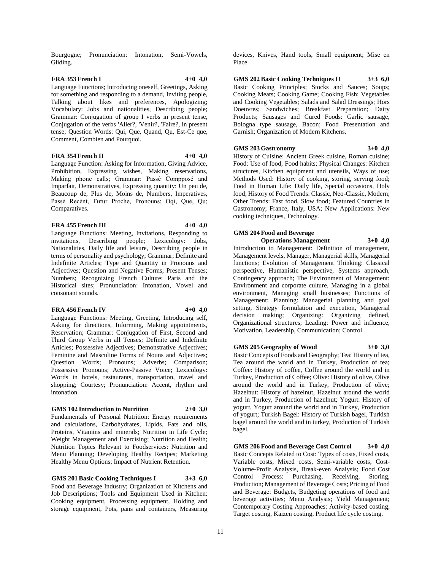Bourgogne; Pronunciation: Intonation, Semi-Vowels, Gliding.

## **FRA 353 French I 4+0 4,0**

Language Functions; Introducing oneself, Greetings, Asking for something and responding to a demand, Inviting people, Talking about likes and preferences, Apologizing; Vocabulary: Jobs and nationalities, Describing people; Grammar: Conjugation of group I verbs in present tense, Conjugation of the verbs 'Aller?, 'Venir?, 'Faire?, in present tense; Question Words: Qui, Que, Quand, Qu, Est-Ce que, Comment, Combien and Pourquoi.

#### **FRA 354 French II 4+0 4,0**

Language Function: Asking for Information, Giving Advice, Prohibition, Expressing wishes, Making reservations, Making phone calls; Grammar: Passé Compposé and Imparfait, Demonstratives, Expressing quantity: Un peu de, Beaucoup de, Plus de, Moins de, Numbers, Imperatives, Passé Recént, Futur Proche, Pronouns: Oqi, Que, Qu; Comparatives.

#### **FRA 455 French III 4+0 4,0**

Language Functions: Meeting, Invitations, Responding to invitations, Describing people; Lexicology: Jobs, Nationalities, Daily life and leisure, Describing people in terms of personality and psychology; Grammar; Definite and Indefinite Articles; Type and Quantity in Pronouns and Adjectives; Question and Negative Forms; Present Tenses; Numbers; Recognizing French Culture: Paris and the Historical sites; Pronunciation: Intonation, Vowel and consonant sounds.

#### **FRA 456 French IV 4+0 4,0**

Language Functions: Meeting, Greeting, Introducing self, Asking for directions, Informing, Making appointments, Reservation; Grammar: Conjugation of First, Second and Third Group Verbs in all Tenses; Definite and Indefinite Articles; Possessive Adjectives; Demonstrative Adjectives; Feminine and Masculine Forms of Nouns and Adjectives; Question Words; Pronouns; Adverbs; Comparison; Possessive Pronouns; Active-Passive Voice; Lexicology: Words in hotels, restaurants, transportation, travel and shopping; Courtesy; Pronunciation: Accent, rhythm and intonation.

## **GMS 102 Introduction to Nutrition 2+0 3,0**

Fundamentals of Personal Nutrition: Energy requirements and calculations, Carbohydrates, Lipids, Fats and oils, Proteins, Vitamins and minerals; Nutrition in Life Cycle; Weight Management and Exercising; Nutrition and Health; Nutrition Topics Relevant to Foodservices: Nutrition and Menu Planning; Developing Healthy Recipes; Marketing Healthy Menu Options; Impact of Nutrient Retention.

**GMS 201 Basic Cooking Techniques I 3+3 6,0** Food and Beverage Industry; Organization of Kitchens and Job Descriptions; Tools and Equipment Used in Kitchen: Cooking equipment, Processing equipment, Holding and storage equipment, Pots, pans and containers, Measuring

devices, Knives, Hand tools, Small equipment; Mise en Place.

**GMS 202 Basic Cooking Techniques II 3+3 6,0** Basic Cooking Principles; Stocks and Sauces; Soups; Cooking Meats; Cooking Game; Cooking Fish; Vegetables and Cooking Vegetables; Salads and Salad Dressings; Hors Doeuvres; Sandwiches; Breakfast Preparation; Dairy Products; Sausages and Cured Foods: Garlic sausage, Bologna type sausage, Bacon; Food Presentation and Garnish; Organization of Modern Kitchens.

#### **GMS 203 Gastronomy 3+0 4,0** History of Cuisine: Ancient Greek cuisine, Roman cuisine;

Food: Use of food, Food habits; Physical Changes: Kitchen structures, Kitchen equipment and utensils, Ways of use; Methods Used: History of cooking, storing, serving food; Food in Human Life: Daily life, Special occasions, Holy food; History of Food Trends: Classic, Neo-Classic, Modern; Other Trends: Fast food, Slow food; Featured Countries in Gastronomy; France, Italy, USA; New Applications: New cooking techniques, Technology.

## **GMS 204 Food and Beverage**

**Operations Management 3+0 4,0** Introduction to Management: Definition of management, Management levels, Manager, Managerial skills, Managerial functions; Evolution of Management Thinking: Classical perspective, Humanistic perspective, Systems approach, Contingency approach; The Environment of Management: Environment and corporate culture, Managing in a global environment, Managing small businesses; Functions of Management: Planning: Managerial planning and goal setting, Strategy formulation and execution, Managerial decision making; Organizing: Organizing defined, Organizational structures; Leading: Power and influence, Motivation, Leadership, Communication; Control.

### **GMS 205 Geography of Wood 3+0 3,0**

Basic Concepts of Foods and Geography; Tea: History of tea, Tea around the world and in Turkey, Production of tea; Coffee: History of coffee, Coffee around the world and in Turkey, Production of Coffee; Olive: History of olive, Olive around the world and in Turkey, Production of olive; Hazelnut: History of hazelnut, Hazelnut around the world and in Turkey, Production of hazelnut; Yogurt: History of yogurt, Yogurt around the world and in Turkey, Production of yogurt; Turkish Bagel: History of Turkish bagel, Turkish bagel around the world and in turkey, Production of Turkish bagel.

**GMS 206 Food and Beverage Cost Control 3+0 4,0** Basic Concepts Related to Cost: Types of costs, Fixed costs, Variable costs, Mixed costs, Semi-variable costs; Cost-Volume-Profit Analysis, Break-even Analysis; Food Cost Control Process: Purchasing, Receiving, Production; Management of Beverage Costs; Pricing of Food and Beverage: Budgets, Budgeting operations of food and beverage activities; Menu Analysis; Yield Management; Contemporary Costing Approaches: Activity-based costing, Target costing, Kaizen costing, Product life cycle costing.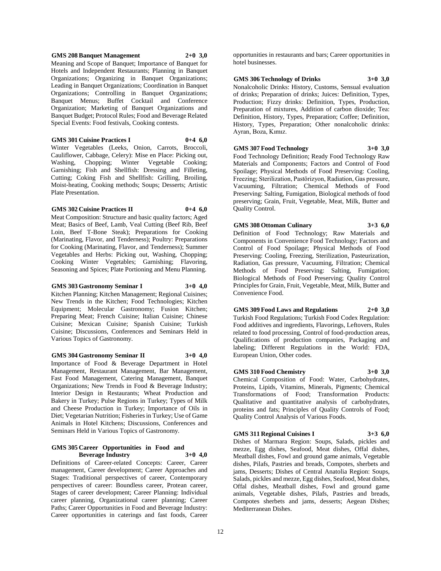#### **GMS 208 Banquet Management 2+0 3,0**

Meaning and Scope of Banquet; Importance of Banquet for Hotels and Independent Restaurants; Planning in Banquet Organizations; Organizing in Banquet Organizations; Leading in Banquet Organizations; Coordination in Banquet Organizations; Controlling in Banquet Organizations; Banquet Menus; Buffet Cocktail and Conference Organization; Marketing of Banquet Organizations and Banquet Budget; Protocol Rules; Food and Beverage Related Special Events: Food festivals, Cooking contests.

## **GMS 301 Cuisine Practices I 0+4 6,0**

Winter Vegetables (Leeks, Onion, Carrots, Broccoli, Cauliflower, Cabbage, Celery): Mise en Place: Picking out, Washing, Chopping; Winter Vegetable Cooking; Garnishing; Fish and Shellfish: Dressing and Filleting, Cutting; Coking Fish and Shellfish: Grilling, Broiling, Moist-heating, Cooking methods; Soups; Desserts; Artistic Plate Presentation.

#### **GMS 302 Cuisine Practices II 0+4 6,0**

Meat Composition: Structure and basic quality factors; Aged Meat; Basics of Beef, Lamb, Veal Cutting (Beef Rib, Beef Loin, Beef T-Bone Steak); Preparations for Cooking (Marinating, Flavor, and Tenderness); Poultry: Preparations for Cooking (Marinating, Flavor, and Tenderness); Summer Vegetables and Herbs: Picking out, Washing, Chopping; Cooking Winter Vegetables; Garnishing; Flavoring, Seasoning and Spices; Plate Portioning and Menu Planning.

#### **GMS 303 Gastronomy Seminar I 3+0 4,0**

Kitchen Planning; Kitchen Management; Regional Cuisines; New Trends in the Kitchen; Food Technologies; Kitchen Equipment; Molecular Gastronomy; Fusion Kitchen; Preparing Meat; French Cuisine; Italian Cuisine; Chinese Cuisine; Mexican Cuisine; Spanish Cuisine; Turkish Cuisine; Discussions, Conferences and Seminars Held in Various Topics of Gastronomy.

### **GMS 304 Gastronomy Seminar II 3+0 4,0**

Importance of Food & Beverage Department in Hotel Management, Restaurant Management, Bar Management, Fast Food Management, Catering Management, Banquet Organizations; New Trends in Food & Beverage Industry; Interior Design in Restaurants; Wheat Production and Bakery in Turkey; Pulse Regions in Turkey; Types of Milk and Cheese Production in Turkey; Importance of Oils in Diet; Vegetarian Nutrition; Fisheries in Turkey; Use of Game Animals in Hotel Kitchens; Discussions, Conferences and Seminars Held in Various Topics of Gastronomy.

#### **GMS 305 Career Opportunities in Food and Beverage Industry 3+0 4,0**

Definitions of Career-related Concepts: Career, Career management, Career development; Career Approaches and Stages: Traditional perspectives of career, Contemporary perspectives of career: Boundless career, Protean career, Stages of career development; Career Planning: Individual career planning, Organizational career planning; Career Paths; Career Opportunities in Food and Beverage Industry: Career opportunities in caterings and fast foods, Career

opportunities in restaurants and bars; Career opportunities in hotel businesses.

#### **GMS 306 Technology of Drinks 3+0 3,0**

Nonalcoholic Drinks: History, Customs, Sensual evaluation of drinks; Preparation of drinks; Juices: Definition, Types, Production; Fizzy drinks: Definition, Types, Production, Preparation of mixtures, Addition of carbon dioxide; Tea: Definition, History, Types, Preparation; Coffee; Definition, History, Types, Preparation; Other nonalcoholic drinks: Ayran, Boza, Kımız.

## **GMS 307 Food Technology 3+0 3,0**

Food Technology Definition; Ready Food Technology Raw Materials and Components; Factors and Control of Food Spoilage; Physical Methods of Food Preserving: Cooling, Freezing; Sterilization, Pastörizyon, Radiation, Gas pressure, Vacuuming, Filtration; Chemical Methods of Food Preserving: Salting, Fumigation, Biological methods of food preserving; Grain, Fruit, Vegetable, Meat, Milk, Butter and Quality Control.

## **GMS 308 Ottoman Culinary 3+3 6,0** Definition of Food Technology; Raw Materials and

Components in Convenience Food Technology; Factors and Control of Food Spoilage; Physical Methods of Food Preserving: Cooling, Freezing, Sterilization, Pasteurization, Radiation, Gas pressure, Vacuuming, Filtration; Chemical Methods of Food Preserving: Salting, Fumigation; Biological Methods of Food Preserving; Quality Control Principles for Grain, Fruit, Vegetable, Meat, Milk, Butter and Convenience Food.

**GMS 309 Food Laws and Regulations 2+0 3,0** Turkish Food Regulations; Turkish Food Codex Regulation: Food additives and ingredients, Flavorings, Leftovers, Rules related to food processing, Control of food-production areas, Qualifications of production companies, Packaging and labeling; Different Regulations in the World: FDA, European Union, Other codes.

## **GMS 310 Food Chemistry 3+0 3,0**

Chemical Composition of Food: Water, Carbohydrates, Proteins, Lipids, Vitamins, Minerals, Pigments; Chemical Transformations of Food; Transformation Products: Qualitative and quantitative analysis of carbohydrates, proteins and fats; Principles of Quality Controls of Food; Quality Control Analysis of Various Foods.

#### **GMS 311 Regional Cuisines I 3+3 6,0**

Dishes of Marmara Region: Soups, Salads, pickles and mezze, Egg dishes, Seafood, Meat dishes, Offal dishes, Meatball dishes, Fowl and ground game animals, Vegetable dishes, Pilafs, Pastries and breads, Compotes, sherbets and jams, Desserts; Dishes of Central Anatolia Region: Soups, Salads, pickles and mezze, Egg dishes, Seafood, Meat dishes, Offal dishes, Meatball dishes, Fowl and ground game animals, Vegetable dishes, Pilafs, Pastries and breads, Compotes sherbets and jams, desserts; Aegean Dishes; Mediterranean Dishes.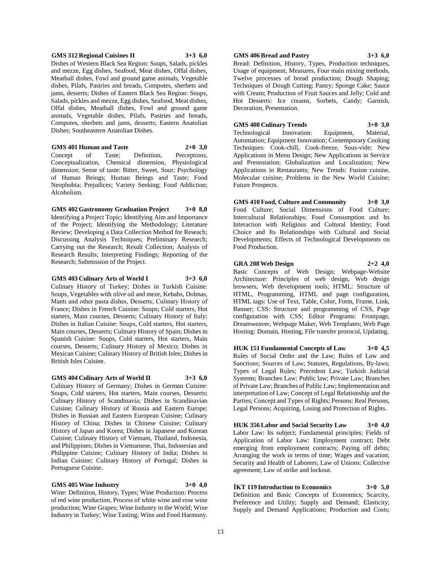#### **GMS 312 Regional Cuisines II 3+3 6,0**

Dishes of Western Black Sea Region: Soups, Salads, pickles and mezze, Egg dishes, Seafood, Meat dishes, Offal dishes, Meatball dishes, Fowl and ground game animals, Vegetable dishes, Pilafs, Pastries and breads, Compotes, sherbets and jams, desserts; Dishes of Eastern Black Sea Region: Soups, Salads, pickles and mezze, Egg dishes, Seafood, Meat dishes, Offal dishes, Meatball dishes, Fowl and ground game animals, Vegetable dishes, Pilafs, Pastries and breads, Compotes, sherbets and jams, desserts; Eastern Anatolian Dishes; Southeastern Anatolian Dishes.

**GMS 401 Human and Taste 2+0 3,0** Concept of Taste; Definition, Perceptions, Conceptualization, Chemical dimension, Physiological dimension; Sense of taste: Bitter, Sweet, Sour; Psychology of Human Beings; Human Beings and Taste; Food Neophobia; Prejudices; Variety Seeking; Food Addiction; Alcoholism.

**GMS 402 Gastronomy Graduation Project 3+0 8,0** Identifying a Project Topic; Identifying Aim and Importance of the Project; Identifying the Methodology; Literature Review; Developing a Data Collection Method for Reseach; Discussing Analysis Techniques; Preliminary Research; Carrying out the Research; Result Collection; Analysis of Research Results; Interpreting Findings; Reporting of the Research; Submission of the Project.

#### **GMS 403 Culinary Arts of World I 3+3 6,0**

Culinary History of Turkey; Dishes in Turkish Cuisine: Soups, Vegetables with olive oil and meze, Kebabs, Dolmas, Mantı and other pasta dishes, Desserts; Culinary History of France; Dishes in French Cuisine: Soups; Cold starters, Hot starters, Main courses, Desserts; Culinary History of Italy; Dishes in Italian Cuisine: Soups, Cold starters, Hot starters, Main courses, Desserts; Culinary History of Spain; Dishes in Spanish Cuisine: Soups, Cold starters, Hot starters, Main courses, Desserts; Culinary History of Mexico; Dishes in Mexican Cuisine; Culinary History of British Isles; Dishes in British Isles Cuisine.

#### **GMS 404 Culinary Arts of World II 3+3 6,0**

Culinary History of Germany; Dishes in German Cuisine: Soups, Cold starters, Hot starters, Main courses, Desserts; Culinary History of Scandinavia; Dishes in Scandinavian Cuisine; Culinary History of Russia and Eastern Europe; Dishes in Russian and Eastern European Cuisine; Culinary History of China; Dishes in Chinese Cuisine; Culinary History of Japan and Korea; Dishes in Japanese and Korean Cuisine; Culinary History of Vietnam, Thailand, Indonesia, and Philippines; Dishes in Vietnamese, Thai, Indonesian and Philippine Cuisine; Culinary History of India; Dishes in Indian Cuisine; Culinary History of Portugal; Dishes in Portuguese Cuisine.

#### **GMS 405 Wine Industry 3+0 4,0**

Wine: Definition, History, Types; Wine Production: Process of red wine production, Process of white wine and rose wine production; Wine Grapes; Wine Industry in the World; Wine Industry in Turkey; Wine Tasting; Wine and Food Harmony.

## **GMS 406 Bread and Pastry 3+3 6,0**

Bread: Definition, History, Types, Production techniques, Usage of equipment, Measures, Four main mixing methods, Twelve processes of bread production; Dough Shaping; Techniques of Dough Cutting; Pastry; Sponge Cake; Sauce with Cream; Production of Fruit Sauces and Jelly; Cold and Hot Desserts: Ice creams, Sorbets, Candy; Garnish, Decoration, Presentation.

#### **GMS 408 Culinary Trends 3+0 3,0**

Technological Innovation: Equipment, Material, Automation; Equipment Innovation; Contemporary Cooking Techniques: Cook-chill, Cook-freeze, Sous-vide; New Applications in Menu Design; New Applications in Service and Presentation; Globalization and Localization; New Applications in Restaurants; New Trends: Fusion cuisine, Molecular cuisine; Problems in the New World Cuisine; Future Prospects.

**GMS 410 Food, Culture and Community 3+0 3,0** Food Culture; Social Dimensions of Food Culture; Intercultural Relationships; Food Consumption and Its Interaction with Religious and Cultural Identity; Food Choice and Its Relationships with Cultural and Social Developments; Effects of Technological Developments on Food Production.

#### **GRA 208 Web Design 2+2 4,0**

Basic Concepts of Web Design; Webpage-Website Architecture: Principles of web design, Web design browsers, Web development tools; HTML: Structure of HTML, Programming, HTML and page configuration, HTML tags: Use of Text, Table, Color, Form, Frame, Link, Banner; CSS: Structure and programming of CSS, Page configuration with CSS; Editor Programs: Frontpage, Dreamweaver, Webpage Maker, Web Templates; Web Page Hosting: Domain, Hosting, File transfer protocol, Updating.

**HUK 151 Fundamental Concepts of Law 3+0 4,5** Rules of Social Order and the Law; Rules of Law and Sanctions; Sources of Law; Statutes, Regulations, By-laws; Types of Legal Rules; Precedent Law; Turkish Judicial Systems; Branches Law: Public law; Private Law; Branches of Private Law; Branches of Public Law; Implementation and interpretation of Law; Concept of Legal Relationship and the Parties; Concept and Types of Rights; Persons: Real Persons, Legal Persons; Acquiring, Losing and Protection of Rights.

**HUK 356 Labor and Social Security Law 3+0 4,0** Labor Law: Its subject; Fundamental principles; Fields of Application of Labor Law: Employment contract; Debt emerging from employment contracts; Paying off debts; Arranging the work in terms of time; Wages and vacation; Security and Health of Laborers; Law of Unions: Collective agreement; Law of strike and lockout.

**İKT 119 Introduction to Economics 3+0 5,0** Definition and Basic Concepts of Economics; Scarcity, Preference and Utility; Supply and Demand; Elasticity; Supply and Demand Applications; Production and Costs;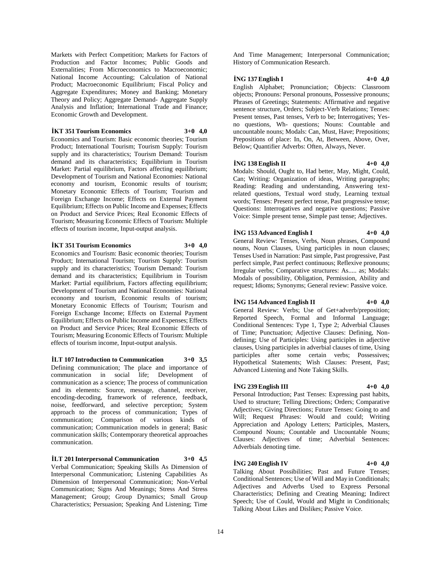Markets with Perfect Competition; Markets for Factors of Production and Factor Incomes; Public Goods and Externalities; From Microeconomics to Macroeconomic; National Income Accounting; Calculation of National Product; Macroeconomic Equilibrium; Fiscal Policy and Aggregate Expenditures; Money and Banking; Monetary Theory and Policy; Aggregate Demand- Aggregate Supply Analysis and Inflation; International Trade and Finance; Economic Growth and Development.

**İKT 351 Tourism Economics 3+0 4,0**

Economics and Tourism: Basic economic theories; Tourism Product; International Tourism; Tourism Supply: Tourism supply and its characteristics; Tourism Demand: Tourism demand and its characteristics; Equilibrium in Tourism Market: Partial equilibrium, Factors affecting equilibrium; Development of Tourism and National Economies: National economy and tourism, Economic results of tourism; Monetary Economic Effects of Tourism; Tourism and Foreign Exchange Income; Effects on External Payment Equilibrium; Effects on Public Income and Expenses; Effects on Product and Service Prices; Real Economic Effects of Tourism; Measuring Economic Effects of Tourism: Multiple effects of tourism income, Input-output analysis.

## **İKT 351 Tourism Economics 3+0 4,0**

Economics and Tourism: Basic economic theories; Tourism Product; International Tourism; Tourism Supply: Tourism supply and its characteristics; Tourism Demand: Tourism demand and its characteristics; Equilibrium in Tourism Market: Partial equilibrium, Factors affecting equilibrium; Development of Tourism and National Economies: National economy and tourism, Economic results of tourism; Monetary Economic Effects of Tourism; Tourism and Foreign Exchange Income; Effects on External Payment Equilibrium; Effects on Public Income and Expenses; Effects on Product and Service Prices; Real Economic Effects of Tourism; Measuring Economic Effects of Tourism: Multiple effects of tourism income, Input-output analysis.

**İLT 107 Introduction to Communication 3+0 3,5** Defining communication; The place and importance of communication in social life; Development of communication as a science; The process of communication and its elements: Source, message, channel, receiver, encoding-decoding, framework of reference, feedback, noise, feedforward, and selective perception; System approach to the process of communication; Types of communication; Comparison of various kinds of communication; Communication models in general; Basic communication skills; Contemporary theoretical approaches communication.

**İLT 201 Interpersonal Communication 3+0 4,5** Verbal Communication; Speaking Skills As Dimension of Interpersonal Communication; Listening Capabilities As Dimension of Interpersonal Communication; Non-Verbal Communication; Signs And Meanings; Stress And Stress Management; Group; Group Dynamics; Small Group Characteristics; Persuasion; Speaking And Listening; Time

And Time Management; Interpersonal Communication; History of Communication Research.

## **İNG 137 English I 4+0 4,0**

English Alphabet; Pronunciation; Objects: Classroom objects; Pronouns: Personal pronouns, Possessive pronouns; Phrases of Greetings; Statements: Affirmative and negative sentence structure, Orders; Subject-Verb Relations; Tenses: Present tenses, Past tenses, Verb to be; Interrogatives; Yesno questions, Wh- questions; Nouns: Countable and uncountable nouns; Modals: Can, Must, Have; Prepositions; Prepositions of place: In, On, At, Between, Above, Over, Below; Quantifier Adverbs: Often, Always, Never.

## **İNG 138 English II 4+0 4,0**

Modals: Should, Ought to, Had better, May, Might, Could, Can; Writing: Organization of ideas, Writing paragraphs; Reading: Reading and understanding, Answering textrelated questions, Textual word study, Learning textual words; Tenses: Present perfect tense, Past progressive tense; Questions: Interrogatives and negative questions; Passive Voice: Simple present tense, Simple past tense; Adjectives.

## **İNG 153 Advanced English I 4+0 4,0**

General Review: Tenses, Verbs, Noun phrases, Compound nouns, Noun Clauses, Using participles in noun clauses; Tenses Used in Narration: Past simple, Past progressive, Past perfect simple, Past perfect continuous; Reflexive pronouns; Irregular verbs; Comparative structures: As..... as; Modals: Modals of possibility, Obligation, Permission, Ability and request; Idioms; Synonyms; General review: Passive voice.

#### **İNG 154 Advanced English II 4+0 4,0**

General Review: Verbs; Use of Get+adverb/preposition; Reported Speech, Formal and Informal Language; Conditional Sentences: Type 1, Type 2; Adverbial Clauses of Time; Punctuation; Adjective Clauses: Defining, Nondefining; Use of Participles: Using participles in adjective clauses, Using participles in adverbial clauses of time, Using participles after some certain verbs; Possessives; Hypothetical Statements; Wish Clauses: Present, Past; Advanced Listening and Note Taking Skills.

## **İNG 239 English III 4+0 4,0**

Personal Introduction; Past Tenses: Expressing past habits, Used to structure; Telling Directions; Orders; Comparative Adjectives; Giving Directions; Future Tenses: Going to and Will; Request Phrases: Would and could; Writing Appreciation and Apology Letters; Participles, Masters, Compound Nouns; Countable and Uncountable Nouns; Clauses: Adjectives of time; Adverbial Sentences: Adverbials denoting time.

## **İNG 240 English IV 4+0 4,0**

Talking About Possibilities; Past and Future Tenses; Conditional Sentences; Use of Will and May in Conditionals; Adjectives and Adverbs Used to Express Personal Characteristics; Defining and Creating Meaning; Indirect Speech; Use of Could, Would and Might in Conditionals; Talking About Likes and Dislikes; Passive Voice.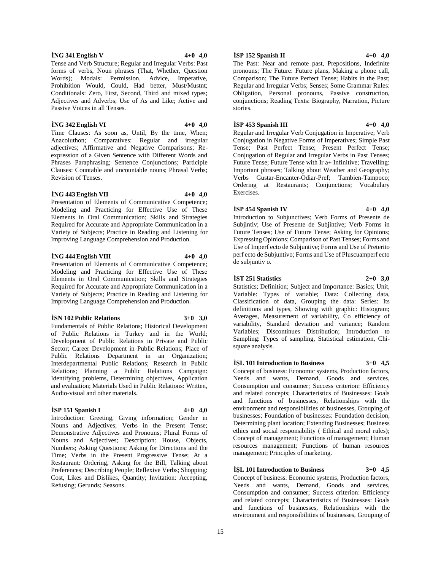## **İNG 341 English V 4+0 4,0**

Tense and Verb Structure; Regular and Irregular Verbs: Past forms of verbs, Noun phrases (That, Whether, Question Words): Modals: Permission, Advice, Imperative, Prohibition Would, Could, Had better, Must/Mustnt; Conditionals: Zero, First, Second, Third and mixed types; Adjectives and Adverbs; Use of As and Like; Active and Passive Voices in all Tenses.

#### **İNG 342 English VI 4+0 4,0**

Time Clauses: As soon as, Until, By the time, When; Anacoluthon; Comparatives: Regular and irregular adjectives; Affirmative and Negative Comparisons; Reexpression of a Given Sentence with Different Words and Phrases Paraphrasing; Sentence Conjunctions; Participle Clauses: Countable and uncountable nouns; Phrasal Verbs; Revision of Tenses.

## **İNG 443 English VII 4+0 4,0**

Presentation of Elements of Communicative Competence; Modeling and Practicing for Effective Use of These Elements in Oral Communication; Skills and Strategies Required for Accurate and Appropriate Communication in a Variety of Subjects; Practice in Reading and Listening for Improving Language Comprehension and Production.

## **İNG 444 English VIII 4+0 4,0**

Presentation of Elements of Communicative Competence; Modeling and Practicing for Effective Use of These Elements in Oral Communication; Skills and Strategies Required for Accurate and Appropriate Communication in a Variety of Subjects; Practice in Reading and Listening for Improving Language Comprehension and Production.

#### **İSN 102 Public Relations 3+0 3,0**

Fundamentals of Public Relations; Historical Development of Public Relations in Turkey and in the World; Development of Public Relations in Private and Public Sector; Career Development in Public Relations; Place of Public Relations Department in an Organization; Interdepartmental Public Relations; Research in Public Relations; Planning a Public Relations Campaign: Identifying problems, Determining objectives, Application and evaluation; Materials Used in Public Relations: Written, Audio-visual and other materials.

### **İSP 151 Spanish I 4+0 4,0**

Introduction: Greeting, Giving information; Gender in Nouns and Adjectives; Verbs in the Present Tense; Demonstrative Adjectives and Pronouns; Plural Forms of Nouns and Adjectives; Description: House, Objects, Numbers; Asking Questions; Asking for Directions and the Time; Verbs in the Present Progressive Tense; At a Restaurant: Ordering, Asking for the Bill, Talking about Preferences; Describing People; Reflexive Verbs; Shopping: Cost, Likes and Dislikes, Quantity; Invitation: Accepting, Refusing; Gerunds; Seasons.

**İSP 152 Spanish II 4+0 4,0**

The Past: Near and remote past, Prepositions, Indefinite pronouns; The Future: Future plans, Making a phone call, Comparison; The Future Perfect Tense; Habits in the Past; Regular and Irregular Verbs; Senses; Some Grammar Rules: Obligation, Personal pronouns, Passive construction, conjunctions; Reading Texts: Biography, Narration, Picture stories.

## **İSP 453 Spanish III 4+0 4,0**

Regular and Irregular Verb Conjugation in Imperative; Verb Conjugation in Negative Forms of Imperatives; Simple Past Tense; Past Perfect Tense; Present Perfect Tense; Conjugation of Regular and Irregular Verbs in Past Tenses; Future Tense; Future Tense with Ir a+ Infinitive; Travelling: Important phrases; Talking about Weather and Geography; Verbs Gustar-Encanter-Odiar-Pref; Tambien-Tampoco; Ordering at Restaurants; Conjunctions; Vocabulary Exercises.

#### **İSP 454 Spanish IV 4+0 4,0**

Introduction to Subjunctives; Verb Forms of Presente de Subjintiv; Use of Presente de Subjintive; Verb Forms in Future Tenses; Use of Future Tense; Asking for Opinions; Expressing Opinions; Comparison of Past Tenses; Forms and Use of Imperf ecto de Subjuntive; Forms and Use of Preterito perf ecto de Subjuntivo; Forms and Use of Pluscuamperf ecto de subjuntiv o.

## **İST 251 Statistics 2+0 3,0**

Statistics; Definition; Subject and Importance: Basics; Unit, Variable: Types of variable; Data: Collecting data, Classification of data, Grouping the data: Series: Its definitions and types, Showing with graphic: Histogram; Averages, Measurement of variability, Co efficiency of variability, Standard deviation and variance; Random Variables; Discontinues Distribution; Introduction to Sampling: Types of sampling, Statistical estimation, Chisquare analysis.

#### **İŞL 101 Introduction to Business 3+0 4,5**

Concept of business: Economic systems, Production factors, Needs and wants, Demand, Goods and services, Consumption and consumer; Success criterion: Efficiency and related concepts; Characteristics of Businesses: Goals and functions of businesses, Relationships with the environment and responsibilities of businesses, Grouping of businesses; Foundation of businesses: Foundation decision, Determining plant location; Extending Businesses; Business ethics and social responsibility ( Ethical and moral rules); Concept of management; Functions of management; Human resources management; Functions of human resources management; Principles of marketing.

## **İŞL 101 Introduction to Business 3+0 4,5**

Concept of business: Economic systems, Production factors, Needs and wants, Demand, Goods and services, Consumption and consumer; Success criterion: Efficiency and related concepts; Characteristics of Businesses: Goals and functions of businesses, Relationships with the environment and responsibilities of businesses, Grouping of

15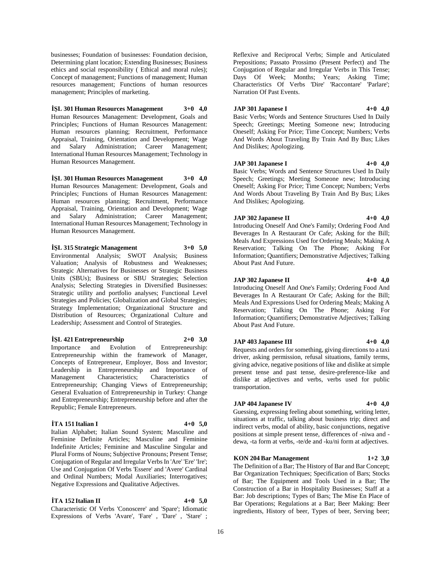businesses; Foundation of businesses: Foundation decision, Determining plant location; Extending Businesses; Business ethics and social responsibility ( Ethical and moral rules); Concept of management; Functions of management; Human resources management; Functions of human resources management; Principles of marketing.

## **İŞL 301 Human Resources Management 3+0 4,0**

Human Resources Management: Development, Goals and Principles; Functions of Human Resources Management: Human resources planning; Recruitment, Performance Appraisal, Training, Orientation and Development; Wage and Salary Administration; Career Management; International Human Resources Management; Technology in Human Resources Management.

**İŞL 301 Human Resources Management 3+0 4,0** Human Resources Management: Development, Goals and Principles; Functions of Human Resources Management: Human resources planning; Recruitment, Performance Appraisal, Training, Orientation and Development; Wage and Salary Administration; Career Management; International Human Resources Management; Technology in Human Resources Management.

## **İŞL 315 Strategic Management 3+0 5,0**

Environmental Analysis; SWOT Analysis; Business Valuation; Analysis of Robustness and Weaknesses; Strategic Alternatives for Businesses or Strategic Business Units (SBUs); Business or SBU Strategies; Selection Analysis; Selecting Strategies in Diversified Businesses: Strategic utility and portfolio analyses; Functional Level Strategies and Policies; Globalization and Global Strategies; Strategy Implementation; Organizational Structure and Distribution of Resources; Organizational Culture and Leadership; Assessment and Control of Strategies.

## **İŞL 421 Entrepreneurship 2+0 3,0**

Importance and Evolution of Entrepreneurship: Entrepreneurship within the framework of Manager, Concepts of Entrepreneur, Employer, Boss and Investor; Leadership in Entrepreneurship and Importance of Management Characteristics; Characteristics of Entrepreneurship; Changing Views of Entrepreneurship; General Evaluation of Entrepreneurship in Turkey: Change and Entrepreneurship; Entrepreneurship before and after the Republic; Female Entrepreneurs.

## **İTA 151 Italian I 4+0 5,0**

Italian Alphabet; Italian Sound System; Masculine and Feminine Definite Articles; Masculine and Feminine Indefinite Articles; Feminine and Masculine Singular and Plural Forms of Nouns; Subjective Pronouns; Present Tense; Conjugation of Regular and Irregular Verbs In 'Are' 'Ere' 'Ire'; Use and Conjugation Of Verbs 'Essere' and 'Avere' Cardinal and Ordinal Numbers; Modal Auxiliaries; Interrogatives; Negative Expressions and Qualitative Adjectives.

## **İTA 152 Italian II 4+0 5,0**

Characteristic Of Verbs 'Conoscere' and 'Spare'; Idiomatic Expressions of Verbs 'Avare', 'Fare' , 'Dare' , 'Stare' ;

Reflexive and Reciprocal Verbs; Simple and Articulated Prepositions; Passato Prossimo (Present Perfect) and The Conjugation of Regular and Irregular Verbs in This Tense; Days Of Week; Months; Years; Asking Time; Characteristics Of Verbs 'Dire' 'Raccontare' 'Parlare'; Narration Of Past Events.

#### **JAP 301 Japanese I 4+0 4,0**

Basic Verbs; Words and Sentence Structures Used In Daily Speech; Greetings; Meeting Someone new; Introducing Oneself; Asking For Price; Time Concept; Numbers; Verbs And Words About Traveling By Train And By Bus; Likes And Dislikes; Apologizing.

#### **JAP 301 Japanese I 4+0 4,0**

Basic Verbs; Words and Sentence Structures Used In Daily Speech; Greetings; Meeting Someone new; Introducing Oneself; Asking For Price; Time Concept; Numbers; Verbs And Words About Traveling By Train And By Bus; Likes And Dislikes; Apologizing.

## **JAP 302 Japanese II 4+0 4,0**

Introducing Oneself And One's Family; Ordering Food And Beverages In A Restaurant Or Cafe; Asking for the Bill; Meals And Expressions Used for Ordering Meals; Making A Reservation; Talking On The Phone; Asking For Information; Quantifiers; Demonstrative Adjectives; Talking About Past And Future.

#### **JAP 302 Japanese II 4+0 4,0**

Introducing Oneself And One's Family; Ordering Food And Beverages In A Restaurant Or Cafe; Asking for the Bill; Meals And Expressions Used for Ordering Meals; Making A Reservation; Talking On The Phone; Asking For Information; Quantifiers; Demonstrative Adjectives; Talking About Past And Future.

## **JAP 403 Japanese III 4+0 4,0**

Requests and orders for something, giving directions to a taxi driver, asking permission, refusal situations, family terms, giving advice, negative positions of like and dislike at simple present tense and past tense, desire-preference-like and dislike at adjectives and verbs, verbs used for public transportation.

## **JAP 404 Japanese IV 4+0 4,0**

Guessing, expressing feeling about something, writing letter, situations at traffic, talking about business trip; direct and indirect verbs, modal of ability, basic conjunctions, negative positions at simple present tense, differences of -niwa and dewa, -ta form at verbs, -te/de and -ku/ni form at adjectives.

## **KON 204 Bar Management 1+2 3,0**

The Definition of a Bar; The History of Bar and Bar Concept; Bar Organization Techniques; Specification of Bars; Stocks of Bar; The Equipment and Tools Used in a Bar; The Construction of a Bar in Hospitality Businesses; Staff at a Bar: Job descriptions; Types of Bars; The Mise En Place of Bar Operations; Regulations at a Bar; Beer Making: Beer ingredients, History of beer, Types of beer, Serving beer;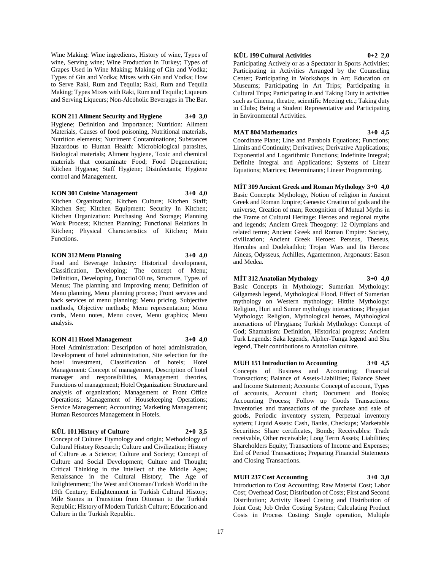Wine Making: Wine ingredients, History of wine, Types of wine, Serving wine; Wine Production in Turkey; Types of Grapes Used in Wine Making; Making of Gin and Vodka; Types of Gin and Vodka; Mixes with Gin and Vodka; How to Serve Raki, Rum and Tequila; Raki, Rum and Tequila Making; Types Mixes with Raki, Rum and Tequila; Liqueurs and Serving Liqueurs; Non-Alcoholic Beverages in The Bar.

## **KON 211 Aliment Security and Hygiene 3+0 3,0**

Hygiene; Definition and Importance; Nutrition: Aliment Materials, Causes of food poisoning, Nutritional materials, Nutrition elements; Nutriment Contaminations; Substances Hazardous to Human Health: Microbiological parasites, Biological materials; Aliment hygiene, Toxic and chemical materials that contaminate Food; Food Degeneration; Kitchen Hygiene; Staff Hygiene; Disinfectants; Hygiene control and Management.

#### **KON 301 Cuisine Management 3+0 4,0**

Kitchen Organization; Kitchen Culture; Kitchen Staff; Kitchen Set; Kitchen Equipment; Security In Kitchen; Kitchen Organization: Purchasing And Storage; Planning Work Process; Kitchen Planning; Functional Relations In Kitchen; Physical Characteristics of Kitchen; Main Functions.

## **KON 312 Menu Planning 3+0 4,0**

Food and Beverage Industry: Historical development, Classification, Developing; The concept of Menu; Definition, Developing, Functio100 ns, Structure, Types of Menus; The planning and Improving menu; Definition of Menu planning, Menu planning process; Front services and back services of menu planning; Menu pricing, Subjective methods, Objective methods; Menu representation; Menu cards, Menu notes, Menu cover, Menu graphics; Menu analysis.

## **KON 411 Hotel Management 3+0 4,0**

Hotel Administration: Description of hotel administration, Development of hotel administration, Site selection for the hotel investment, Classification of hotels; Hotel Management: Concept of management, Description of hotel manager and responsibilities, Management theories, Functions of management; Hotel Organization: Structure and analysis of organization; Management of Front Office Operations; Management of Housekeeping Operations; Service Management; Accounting; Marketing Management; Human Resources Management in Hotels.

## **KÜL 101 History of Culture 2+0 3,5**

Concept of Culture: Etymology and origin; Methodology of Cultural History Research; Culture and Civilization; History of Culture as a Science; Culture and Society; Concept of Culture and Social Development; Culture and Thought; Critical Thinking in the Intellect of the Middle Ages; Renaissance in the Cultural History; The Age of Enlightenment; The West and Ottoman/Turkish World in the 19th Century; Enlightenment in Turkish Cultural History; Mile Stones in Transition from Ottoman to the Turkish Republic; History of Modern Turkish Culture; Education and Culture in the Turkish Republic.

## **KÜL 199 Cultural Activities 0+2 2,0**

Participating Actively or as a Spectator in Sports Activities; Participating in Activities Arranged by the Counseling Center; Participating in Workshops in Art; Education on Museums; Participating in Art Trips; Participating in Cultural Trips; Participating in and Taking Duty in activities such as Cinema, theatre, scientific Meeting etc.; Taking duty in Clubs; Being a Student Representative and Participating in Environmental Activities.

## **MAT 804 Mathematics 3+0 4,5**

Coordinate Plane; Line and Parabola Equations; Functions; Limits and Continuity; Derivatives; Derivative Applications; Exponential and Logarithmic Functions; Indefinite Integral; Definite Integral and Applications; Systems of Linear Equations; Matrices; Determinants; Linear Programming.

**MİT 309 Ancient Greek and Roman Mythology 3+0 4,0** Basic Concepts: Mythology, Notion of religion in Ancient Greek and Roman Empire; Genesis: Creation of gods and the universe, Creation of man; Recognition of Mutual Myths in the Frame of Cultural Heritage: Heroes and regional myths and legends; Ancient Greek Theogony: 12 Olympians and related terms; Ancient Greek and Roman Empire: Society, civilization; Ancient Greek Heroes: Perseus, Theseus, Hercules and Dodekathloi; Trojan Wars and Its Heroes: Aineas, Odysseus, Achilles, Agamemnon, Argonauts: Eason and Medea.

## **MİT 312 Anatolian Mythology 3+0 4,0**

Basic Concepts in Mythology; Sumerian Mythology: Gilgamesh legend, Mythological Flood, Effect of Sumerian mythology on Western mythology; Hittite Mythology: Religion, Huri and Sumer mythology interactions; Phrygian Mythology: Religion, Mythological heroes, Mythological interactions of Phrygians; Turkish Mythology: Concept of God; Shamanism: Definition, Historical progress; Ancient Turk Legends: Saka legends, Alpher-Tunga legend and Shu legend, Their contributions to Anatolian culture.

#### **MUH 151 Introduction to Accounting 3+0 4,5**

Concepts of Business and Accounting; Financial Transactions; Balance of Assets-Liabilities; Balance Sheet and Income Statement; Accounts: Concept of account, Types of accounts, Account chart; Document and Books; Accounting Process; Follow up Goods Transactions: Inventories and transactions of the purchase and sale of goods, Periodic inventory system, Perpetual inventory system; Liquid Assets: Cash, Banks, Checkups; Marketable Securities: Share certificates, Bonds; Receivables: Trade receivable, Other receivable; Long Term Assets; Liabilities; Shareholders Equity; Transactions of Income and Expenses; End of Period Transactions; Preparing Financial Statements and Closing Transactions.

#### **MUH 237 Cost Accounting 3+0 3,0**

Introduction to Cost Accounting; Raw Material Cost; Labor Cost; Overhead Cost; Distribution of Costs; First and Second Distribution; Activity Based Costing and Distribution of Joint Cost; Job Order Costing System; Calculating Product Costs in Process Costing: Single operation, Multiple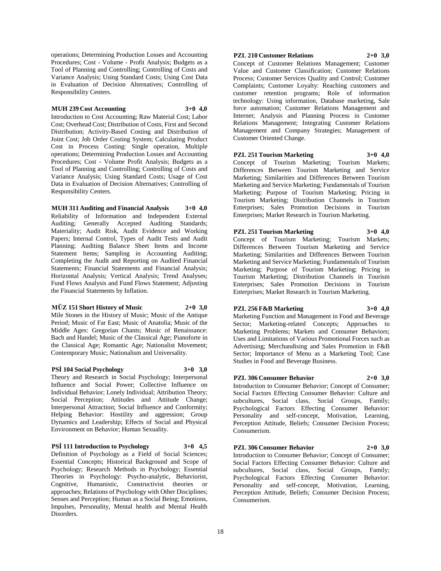operations; Determining Production Losses and Accounting Procedures; Cost - Volume - Profit Analysis; Budgets as a Tool of Planning and Controlling; Controlling of Costs and Variance Analysis; Using Standard Costs; Using Cost Data in Evaluation of Decision Alternatives; Controlling of Responsibility Centers.

## **MUH 239 Cost Accounting 3+0 4,0**

Introduction to Cost Accounting; Raw Material Cost; Labor Cost; Overhead Cost; Distribution of Costs, First and Second Distribution; Activity-Based Costing and Distribution of Joint Cost; Job Order Costing System; Calculating Product Cost in Process Costing: Single operation, Multiple operations; Determining Production Losses and Accounting Procedures; Cost - Volume Profit Analysis; Budgets as a Tool of Planning and Controlling; Controlling of Costs and Variance Analysis; Using Standard Costs; Usage of Cost Data in Evaluation of Decision Alternatives; Controlling of Responsibility Centers.

**MUH 311 Auditing and Financial Analysis 3+0 4,0** Reliability of Information and Independent External Auditing; Generally Accepted Auditing Standards; Materiality; Audit Risk, Audit Evidence and Working Papers; Internal Control, Types of Audit Tests and Audit Planning; Auditing Balance Sheet Items and Income Statement Items; Sampling in Accounting Auditing; Completing the Audit and Reporting on Audited Financial Statements; Financial Statements and Financial Analysis; Horizontal Analysis; Vertical Analysis; Trend Analyses; Fund Flows Analysis and Fund Flows Statement; Adjusting the Financial Statements by Inflation.

#### **MÜZ 151 Short History of Music 2+0 3,0**

Mile Stones in the History of Music; Music of the Antique Period; Music of Far East; Music of Anatolia; Music of the Middle Ages: Gregorian Chants; Music of Renaissance: Bach and Handel; Music of the Classical Age; Pianoforte in the Classical Age; Romantic Age; Nationalist Movement; Contemporary Music; Nationalism and Universality.

#### **PSİ 104 Social Psychology 3+0 3,0**

Theory and Research in Social Psychology; Interpersonal Influence and Social Power; Collective Influence on Individual Behavior; Lonely Individual; Attribution Theory; Social Perception; Attitudes and Attitude Change; Interpersonal Attraction; Social Influence and Conformity; Helping Behavior: Hostility and aggression; Group Dynamics and Leadership; Effects of Social and Physical Environment on Behavior; Human Sexuality.

## **PSİ 111 Introduction to Psychology 3+0 4,5**

Definition of Psychology as a Field of Social Sciences; Essential Concepts; Historical Background and Scope of Psychology; Research Methods in Psychology; Essential Theories in Psychology: Psycho-analytic, Behaviorist, Cognitive, Humanistic, Constructivist theories or approaches; Relations of Psychology with Other Disciplines; Senses and Perception; Human as a Social Being; Emotions, Impulses, Personality, Mental health and Mental Health Disorders.

## **PZL 210 Customer Relations 2+0 3,0**

Concept of Customer Relations Management; Customer Value and Customer Classification; Customer Relations Process; Customer Services Quality and Control; Customer Complaints; Customer Loyalty: Reaching customers and customer retention programs; Role of information technology: Using information, Database marketing, Sale force automation; Customer Relations Management and Internet; Analysis and Planning Process in Customer Relations Management; Integrating Customer Relations Management and Company Strategies; Management of Customer Oriented Change.

## **PZL 251 Tourism Marketing 3+0 4,0**

Concept of Tourism Marketing; Tourism Markets; Differences Between Tourism Marketing and Service Marketing; Similarities and Differences Between Tourism Marketing and Service Marketing; Fundamentals of Tourism Marketing; Purpose of Tourism Marketing; Pricing in Tourism Marketing; Distribution Channels in Tourism Enterprises; Sales Promotion Decisions in Tourism Enterprises; Market Research in Tourism Marketing.

## **PZL 251 Tourism Marketing 3+0 4,0**

Concept of Tourism Marketing; Tourism Markets; Differences Between Tourism Marketing and Service Marketing; Similarities and Differences Between Tourism Marketing and Service Marketing; Fundamentals of Tourism Marketing; Purpose of Tourism Marketing; Pricing in Tourism Marketing; Distribution Channels in Tourism Enterprises; Sales Promotion Decisions in Tourism Enterprises; Market Research in Tourism Marketing.

Studies in Food and Beverage Business.

**PZL 256 F&B Marketing 3+0 4,0** Marketing Function and Management in Food and Beverage Sector; Marketing-related Concepts; Approaches to Marketing Problems; Markets and Consumer Behaviors; Uses and Limitations of Various Promotional Forces such as Advertising; Merchandising and Sales Promotion in F&B Sector; Importance of Menu as a Marketing Tool; Case

## **PZL 306 Consumer Behavior 2+0 3,0**

Introduction to Consumer Behavior; Concept of Consumer; Social Factors Effecting Consumer Behavior: Culture and subcultures, Social class, Social Groups, Family; Psychological Factors Effecting Consumer Behavior: Personality and self-concept, Motivation, Learning, Perception Attitude, Beliefs; Consumer Decision Process; Consumerism.

## **PZL 306 Consumer Behavior 2+0 3,0**

Introduction to Consumer Behavior; Concept of Consumer; Social Factors Effecting Consumer Behavior: Culture and subcultures, Social class, Social Groups, Family; Psychological Factors Effecting Consumer Behavior: Personality and self-concept, Motivation, Learning, Perception Attitude, Beliefs; Consumer Decision Process; Consumerism.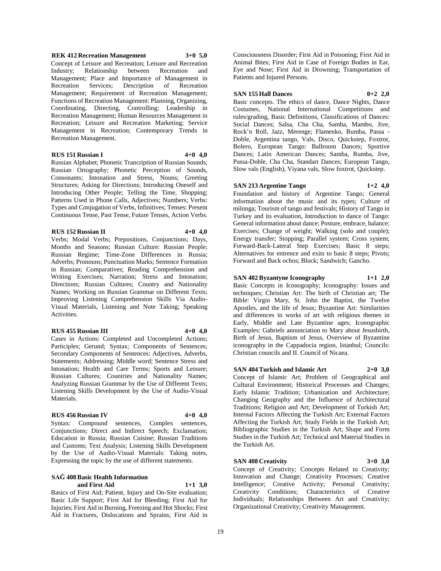### **REK 412 Recreation Management 3+0 5,0**

Concept of Leisure and Recreation; Leisure and Recreation Industry; Relationship between Recreation and Management; Place and Importance of Management in Recreation Services; Description of Recreation Management; Requirement of Recreation Management; Functions of Recreation Management: Planning, Organizing, Coordinating, Directing, Controlling; Leadership in Recreation Management; Human Resources Management in Recreation; Leisure and Recreation Marketing; Service Management in Recreation; Contemporary Trends in Recreation Management.

## **RUS 151 Russian I 4+0 4,0**

Russian Alphabet; Phonetic Trancription of Russian Sounds; Russian Ortography; Phonetic Perception of Sounds, Consonants; Intonation and Stress, Nouns; Greeting Structures; Asking for Directions; Introducing Oneself and Introducing Other People; Telling the Time, Shopping; Patterns Used in Phone Calls, Adjectives; Numbers; Verbs: Types and Conjugation of Verbs, Infinitives; Tenses: Present Continuous Tense, Past Tense, Future Tenses, Action Verbs.

#### **RUS 152 Russian II 4+0 4,0**

Months and Seasons; Russian Culture: Russian People; Russian Regime; Time-Zone Differences in Russia; Adverbs; Pronouns; Punctuation Marks; Sentence Formation in Russian; Comparatives; Reading Comprehension and Writing Exercises; Narration; Stress and Intonation; Directions; Russian Cultures; Country and Nationality Names; Working on Russian Grammar on Different Texts; Improving Listening Comprehension Skills Via Audio-Visual Materials, Listening and Note Taking; Speaking Activities.

Verbs; Modal Verbs; Prepositions, Conjunctions; Days,

#### **RUS 455 Russian III 4+0 4,0**

Cases in Actions: Completed and Uncompleted Actions; Participles; Gerund; Syntax; Components of Sentences; Secondary Components of Sentences: Adjectives, Adverbs, Statements; Addressing; Middle word; Sentence Stress and Intonation; Health and Care Terms; Sports and Leisure; Russian Cultures; Countries and Nationality Names; Analyzing Russian Grammar by the Use of Different Texts; Listening Skills Development by the Use of Audio-Visual Materials.

#### **RUS 456 Russian IV 4+0 4,0**

Syntax: Compound sentences, Complex sentences, Conjunctions; Direct and Indirect Speech; Exclamation; Education in Russia; Russian Cuisine; Russian Traditions and Customs; Text Analysis; Listening Skills Development by the Use of Audio-Visual Materials: Taking notes, Expressing the topic by the use of different statements.

## **SAĞ 408 Basic Health Information and First Aid 1+1 3,0**

Basics of First Aid; Patient, Injury and On-Site evaluation; Basic Life Support; First Aid for Bleeding; First Aid for Injuries; First Aid in Burning, Freezing and Hot Shocks; First Aid in Fractures, Dislocations and Sprains; First Aid in

Consciousness Disorder; First Aid in Poisoning; First Aid in Animal Bites; First Aid in Case of Foreign Bodies in Ear, Eye and Nose; First Aid in Drowning; Transportation of Patients and Injured Persons.

#### **SAN 155 Hall Dances 0+2 2,0**

Basic concepts. The ethics of dance, Dance Nights, Dance Costumes, National International Competitions and rules/grading, Basic Definitions, Classifications of Dances: Social Dances; Salsa, Cha Cha, Samba, Mambo, Jive, Rock'n Roll, Jazz, Merenge; Flamenko, Rumba, Passa - Doble, Argentina tango, Vals, Disco, Quickstep, Foxtrot, Bolero, European Tango: Ballroom Dances; Sportive Dances; Latin American Dances; Samba, Rumba, Jive, Passa-Doble, Cha Cha, Standart Dances; European Tango, Slow vals (English), Viyana vals, Slow foxtrot, Quickstep.

## **SAN 213 Argentine Tango 1+2 4,0**

Foundation and history of Argentine Tango; General information about the music and its types; Culture of milonga; Tourism of tango and festivals; History of Tango in Turkey and its evaluation, Introduction to dance of Tango: General information about dance; Posture, embrace, balance; Exercises; Change of weight; Walking (solo and couple); Energy transfer; Stopping; Parallel system; Cross system; Forward-Back-Lateral Step Exercises; Basic 8 steps; Alternatives for entrence and exits to basic 8 steps; Pivots; Forward and Back ochos; Block; Sandwich; Gancho.

#### **SAN 402 Byzantyne Iconography 1+1 2,0**

Basic Concepts in Iconography; Iconography: Issues and techniques; Christian Art: The birth of Christian art; The Bible: Virgin Mary, St. John the Baptist, the Twelve Apostles, and the life of Jesus; Byzantine Art: Similarities and differences in works of art with religious themes in Early, Middle and Late Byzantine ages; Iconographic Examples: Gabriels annunciation to Mary about Jesusbirth, Birth of Jesus, Baptism of Jesus, Overview of Byzantine iconography in the Cappadocia region, Istanbul; Councils: Christian councils and II. Council of Nicaea.

## **SAN 404 Turkish and Islamic Art 2+0 3,0**

Concept of Islamic Art; Problem of Geographical and Cultural Environment; Historical Processes and Changes; Early Islamic Tradition; Urbanization and Architecture; Changing Geography and the Influence of Architectural Traditions; Religion and Art; Development of Turkish Art; Internal Factors Affecting the Turkish Art; External Factors Affecting the Turkish Art; Study Fields in the Turkish Art; Bibliographic Studies in the Turkish Art; Shape and Form Studies in the Turkish Art; Technical and Material Studies in the Turkish Art.

#### **SAN 408 Creativity 3+0 3,0**

Concept of Creativity; Concepts Related to Creativity; Innovation and Change; Creativity Processes; Creative Intelligence; Creative Activity; Personal Creativity; Creativity Conditions; Characteristics of Creative Individuals; Relationships Between Art and Creativity; Organizational Creativity; Creativity Management.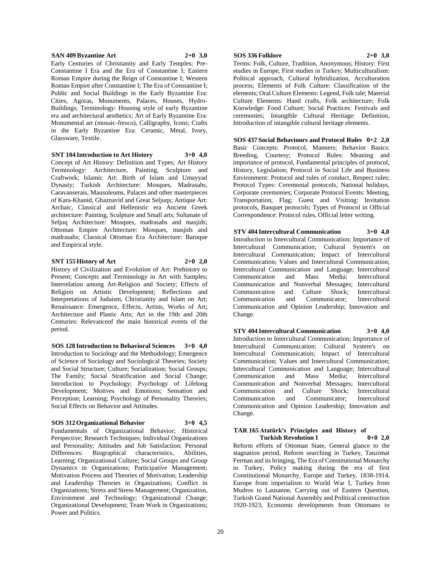#### **SAN 409 Byzantine Art 2+0 3,0**

Early Centuries of Christianity and Early Temples; Pre-Constantine I Era and the Era of Constantine I; Eastern Roman Empire during the Reign of Constantine I; Western Roman Empire after Constantine I; The Era of Constantine I; Public and Social Buildings in the Early Byzantine Era: Cities, Agoras, Monuments, Palaces, Houses, Hydro-Buildings; Terminology: Housing style of early Byzantine era and architectural aesthetics; Art of Early Byzantine Era: Monumental art (mosaic-fresco), Calligraphy, Icons; Crafts in the Early Byzantine Era: Ceramic, Metal, Ivory, Glassware, Textile.

#### **SNT 104 Introduction to Art History 3+0 4,0**

Concept of Art History: Definition and Types; Art History Terminology: Architecture, Painting, Sculpture and Craftwork; Islamic Art: Birth of Islam and Umayyad Dynasty; Turkish Architecture: Mosques, Madrasahs, Caravanserais, Mausoleums, Palaces and other masterpieces of Kara-Khanid, Ghaznavid and Great Seljuqs; Antique Art: Archaic, Classical and Hellenistic era Ancient Greek architecture: Painting, Sculpture and Small arts; Sultanate of Seljuq Architecture: Mosques, madrasahs and masjids; Ottoman Empire Architecture: Mosques, masjids and madrasahs; Classical Ottoman Era Architecture: Baroque and Empirical style.

#### **SNT 155 History of Art 2+0 2,0**

History of Civilization and Evolution of Art: Prehistory to Present; Concepts and Terminology in Art with Samples; Interrelation among Art-Religion and Society; Effects of Religion on Artistic Development; Reflections and Interpretations of Judaism, Christianity and Islam on Art; Renaissance: Emergence, Effects, Artists, Works of Art; Architecture and Plastic Arts; Art in the 19th and 20th Centuries: Relevanceof the main historical events of the period.

**SOS 128 Introduction to Behavioral Sciences 3+0 4,0** Introduction to Sociology and the Methodology; Emergence of Science of Sociology and Sociological Theories; Society and Social Structure; Culture; Socialization; Social Groups; The Family; Social Stratification and Social Change; Introduction to Psychology; Psychology of Lifelong Development; Motives and Emotions; Sensation and Perception; Learning; Psychology of Personality Theories; Social Effects on Behavior and Attitudes.

## **SOS 312 Organizational Behavior 3+0 4,5**

Fundamentals of Organizational Behavior; Historical Perspective; Research Techniques; Individual Organizations and Personality; Attitudes and Job Satisfaction; Personal Differences: Biographical characteristics, Abilities, Learning; Organizational Culture; Social Groups and Group Dynamics in Organizations; Participative Management; Motivation Process and Theories of Motivation; Leadership and Leadership Theories in Organizations; Conflict in Organizations; Stress and Stress Management; Organization, Environment and Technology; Organizational Change; Organizational Development; Team Work in Organizations; Power and Politics.

#### **SOS 336 Folklore 2+0 3,0**

Terms: Folk, Culture, Tradition, Anonymous; History: First studies in Europe, First studies in Turkey; Multiculturalism: Political approach, Cultural hybridization, Acculturation process; Elements of Folk Culture: Classification of the elements; Oral Culture Elements: Legend, Folk tale; Material Culture Elements: Hand crafts, Folk architecture; Folk Knowledge: Food Culture; Social Practices: Festivals and ceremonies; Intangible Cultural Heritage: Definition, Introduction of intangible cultural heritage elements.

**SOS 437 Social Behaviours and Protocol Rules 0+2 2,0** Basic Concepts: Protocol, Manners; Behavior Basics: Breeding, Courtesy; Protocol Rules: Meaning and importance of protocol, Fundamental principles of protocol, History, Legislation; Protocol in Social Life and Business Environment: Protocol and rules of conduct, Respect rules; Protocol Types: Ceremonial protocols, National holidays, Corporate ceremonies; Corporate Protocol Events: Meeting, Transportation, Flag; Guest and Visiting: Invitation protocols, Banquet protocols; Types of Protocol in Official Correspondence: Protocol rules, Official letter writing.

**STV 404 Intercultural Communication 3+0 4,0** Introduction to Intercultural Communication; Importance of Intercultural Communication; Cultural System's on Intercultural Communication; Impact of Intercultural Communication; Values and Intercultural Communication; Intercultural Communication and Language; Intercultural Communication and Mass Media; Intercultural Communication and Nonverbal Messages; Intercultural Communication and Culture Shock; Intercultural Communication and Communicator; Intercultural Communication and Opinion Leadership; Innovation and Change.

**STV 404 Intercultural Communication 3+0 4,0** Introduction to Intercultural Communication; Importance of Intercultural Communication; Cultural System's on Intercultural Communication; Impact of Intercultural Communication; Values and Intercultural Communication; Intercultural Communication and Language; Intercultural Communication and Mass Media; Intercultural Communication and Nonverbal Messages; Intercultural Communication and Culture Shock; Intercultural Communication and Communicator; Intercultural Communication and Opinion Leadership; Innovation and Change.

#### **TAR 165 Atatürk's Principles and History of Turkish Revolution I 0+0 2,0**

Reform efforts of Ottoman State, General glance to the stagnation period, Reform searching in Turkey, Tanzimat Ferman and its bringing, The Era of Constitutional Monarchy in Turkey, Policy making during the era of first Constitutional Monarchy, Europe and Turkey, 1838-1914, Europe from imperialism to World War I, Turkey from Mudros to Lausanne, Carrying out of Eastern Question, Turkish Grand National Assembly and Political construction 1920-1923, Economic developments from Ottomans to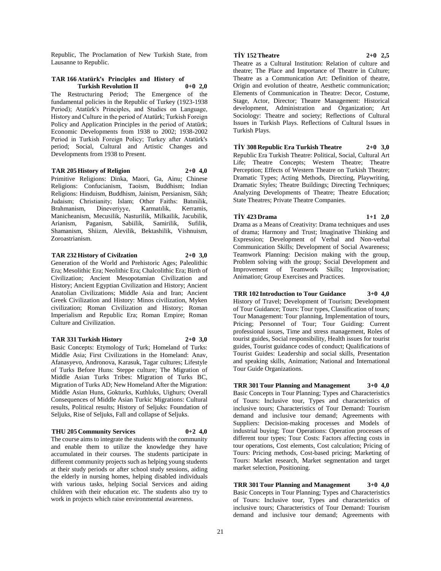Republic, The Proclamation of New Turkish State, from Lausanne to Republic.

#### **TAR 166 Atatürk's Principles and History of Turkish Revolution II 0+0 2,0**

The Restructuring Period; The Emergence of the fundamental policies in the Republic of Turkey (1923-1938 Period); Atatürk's Principles, and Studies on Language, History and Culture in the period of Atatürk; Turkish Foreign Policy and Application Principles in the period of Atatürk; Economic Developments from 1938 to 2002; 1938-2002 Period in Turkish Foreign Policy; Turkey after Atatürk's period; Social, Cultural and Artistic Changes and Developments from 1938 to Present.

#### **TAR 205 History of Religion 2+0 4,0**

Primitive Religions: Dinka, Maori, Ga, Ainu; Chinese Religions: Confucianism, Taoism, Buddhism; Indian Religions: Hinduism, Buddhism, Jainism, Persianism, Sikh; Judaism; Christianity; Islam; Other Faiths: Batınilik, Brahmanism, Dineveriyye, Karmatılik, Kerramis, Manicheanism, Mecusilik, Nasturilik, Milkailik, Jacubilik, Arianism, Paganism, Sabiilik, Samirilik, Sufilik, Shamanism, Shiizm, Alevilik, Bektashilik, Vishnuism, Zoroastrianism.

## **TAR 232 History of Civilzation 2+0 3,0**

Generation of the World and Prehistoric Ages; Paleolithic Era; Mesolithic Era; Neolithic Era; Chalcolithic Era; Birth of Civilization; Ancient Mesopotamian Civilization and History; Ancient Egyptian Civilization and History; Ancient Anatolian Civilizations; Middle Asia and Iran; Ancient Greek Civilization and History: Minos civilization, Myken civilization; Roman Civilization and History; Roman Imperialism and Republic Era; Roman Empire; Roman Culture and Civilization.

#### **TAR 331 Turkish History 2+0 3,0**

Basic Concepts: Etymology of Turk; Homeland of Turks: Middle Asia; First Civilizations in the Homeland: Anav, Afanasyevo, Andronova, Karasuk, Tagar cultures; Lifestyle of Turks Before Huns: Steppe culture; The Migration of Middle Asian Turks Tribes: Migration of Turks BC, Migration of Turks AD; New Homeland After the Migration: Middle Asian Huns, Gokturks, Kuthluks, Uighurs; Overall Consequences of Middle Asian Turkic Migrations: Cultural results, Political results; History of Seljuks: Foundation of Seljuks, Rise of Seljuks, Fall and collapse of Seljuks.

#### **THU 205 Community Services 0+2 4,0**

The course aims to integrate the students with the community and enable them to utilize the knowledge they have accumulated in their courses. The students participate in different community projects such as helping young students at their study periods or after school study sessions, aiding the elderly in nursing homes, helping disabled individuals with various tasks, helping Social Services and aiding children with their education etc. The students also try to work in projects which raise environmental awareness.

## **TİY 152 Theatre 2+0 2,5**

Theatre as a Cultural Institution: Relation of culture and theatre; The Place and Importance of Theatre in Culture; Theatre as a Communication Art: Definition of theatre, Origin and evolution of theatre, Aesthetic communication; Elements of Communication in Theatre: Decor, Costume, Stage, Actor, Director; Theatre Management: Historical development, Administration and Organization; Art Sociology: Theatre and society; Reflections of Cultural Issues in Turkish Plays. Reflections of Cultural Issues in Turkish Plays.

**TİY 308 Republic Era Turkish Theatre 2+0 3,0** Republic Era Turkish Theatre: Political, Social, Cultural Art Life; Theatre Concepts; Western Theatre; Theatre Perception; Effects of Western Theatre on Turkish Theatre; Dramatic Types; Acting Methods, Directing, Playwriting, Dramatic Styles; Theatre Buildings; Directing Techniques; Analyzing Developments of Theatre; Theatre Education; State Theatres; Private Theatre Companies.

## **TİY 423 Drama 1+1 2,0**

Drama as a Means of Creativity: Drama techniques and uses of drama; Harmony and Trust; Imaginative Thinking and Expression; Development of Verbal and Non-verbal Communication Skills; Development of Social Awareness; Teamwork Planning: Decision making with the group, Problem solving with the group; Social Development and Improvement of Teamwork Skills; Improvisation; Animation; Group Exercises and Practices.

**TRR 102 Introduction to Tour Guidance 3+0 4,0** History of Travel; Development of Tourism; Development of Tour Guidance; Tours: Tour types, Classification of tours; Tour Management: Tour planning, Implementation of tours, Pricing; Personnel of Tour; Tour Guiding: Current professional issues, Time and stress management, Roles of tourist guides, Social responsibility, Health issues for tourist guides, Tourist guidance codes of conduct; Qualifications of Tourist Guides: Leadership and social skills, Presentation and speaking skills, Animation; National and International Tour Guide Organizations.

**TRR 301 Tour Planning and Management 3+0 4,0** Basic Concepts in Tour Planning; Types and Characteristics of Tours: Inclusive tour, Types and characteristics of inclusive tours; Characteristics of Tour Demand: Tourism demand and inclusive tour demand; Agreements with Suppliers: Decision-making processes and Models of industrial buying; Tour Operations: Operation processes of different tour types; Tour Costs: Factors affecting costs in tour operations, Cost elements, Cost calculation; Pricing of Tours: Pricing methods, Cost-based pricing; Marketing of Tours: Market research, Market segmentation and target market selection, Positioning.

**TRR 301 Tour Planning and Management 3+0 4,0** Basic Concepts in Tour Planning; Types and Characteristics of Tours: Inclusive tour, Types and characteristics of inclusive tours; Characteristics of Tour Demand: Tourism demand and inclusive tour demand; Agreements with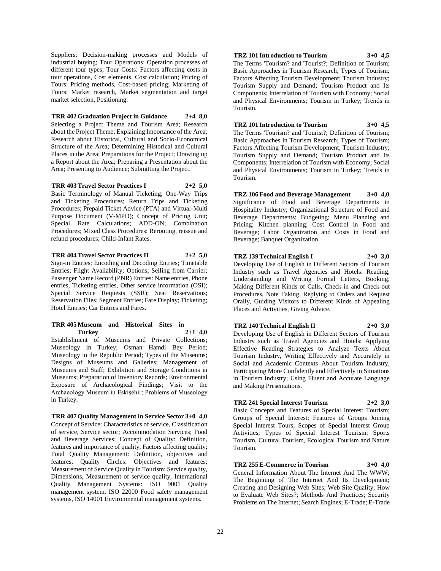Suppliers: Decision-making processes and Models of industrial buying; Tour Operations: Operation processes of different tour types; Tour Costs: Factors affecting costs in tour operations, Cost elements, Cost calculation; Pricing of Tours: Pricing methods, Cost-based pricing; Marketing of Tours: Market research, Market segmentation and target market selection, Positioning.

## **TRR 402 Graduation Project in Guidance 2+4 8,0**

Selecting a Project Theme and Tourism Area; Research about the Project Theme; Explaining Importance of the Area; Research about Historical, Cultural and Socio-Economical Structure of the Area; Determining Historical and Cultural Places in the Area; Preparations for the Project; Drawing up a Report about the Area; Preparing a Presentation about the Area; Presenting to Audience; Submitting the Project.

**TRR 403 Travel Sector Practices I 2+2 5,0**

Basic Terminology of Manual Ticketing; One-Way Trips and Ticketing Procedures; Return Trips and Ticketing Procedures; Prepaid Ticket Advice (PTA) and Virtual-Multi Purpose Document (V-MPD); Concept of Pricing Unit; Special Rate Calculations; ADD-ON; Combination Procedures; Mixed Class Procedures: Rerouting, reissue and refund procedures; Child-Infant Rates.

## **TRR 404 Travel Sector Practices II 2+2 5,0**

Sign-in Entries; Encoding and Decoding Entries; Timetable Entries; Flight Availability; Options; Selling from Carrier; Passenger Name Record (PNR) Entries: Name entries, Phone entries, Ticketing entries, Other service information (OSI); Special Service Requests (SSR); Seat Reservations; Reservation Files; Segment Entries; Fare Display; Ticketing; Hotel Entries; Car Entries and Fares.

#### **TRR 405 Museum and Historical Sites in Turkey 2+1 4,0**

Establishment of Museums and Private Collections; Museology in Turkey; Osman Hamdi Bey Period; Museology in the Republic Period; Types of the Museums; Designs of Museums and Galleries; Management of Museums and Staff; Exhibition and Storage Conditions in Museums; Preparation of Inventory Records; Environmental Exposure of Archaeological Findings; Visit to the Archaeology Museum in Eskişehir; Problems of Museology in Turkey.

## **TRR 407 Quality Management in Service Sector 3+0 4,0**

Concept of Service: Characteristics of service, Classification of service, Service sector; Accommodation Services; Food and Beverage Services; Concept of Quality: Definition, features and importance of quality, Factors affecting quality; Total Quality Management: Definition, objectives and features; Quality Circles: Objectives and features; Measurement of Service Quality in Tourism: Service quality, Dimensions, Measurement of service quality, International Quality Management Systems: ISO 9001 Quality management system, ISO 22000 Food safety management systems, ISO 14001 Environmental management systems.

## **TRZ 101 Introduction to Tourism 3+0 4,5**

The Terms 'Tourism? and 'Tourist?; Definition of Tourism; Basic Approaches in Tourism Research; Types of Tourism; Factors Affecting Tourism Development; Tourism Industry; Tourism Supply and Demand; Tourism Product and Its Components; Interrelation of Tourism with Economy; Social and Physical Environments; Tourism in Turkey; Trends in Tourism.

## **TRZ 101 Introduction to Tourism 3+0 4,5**

The Terms 'Tourism? and 'Tourist?; Definition of Tourism; Basic Approaches in Tourism Research; Types of Tourism; Factors Affecting Tourism Development; Tourism Industry; Tourism Supply and Demand; Tourism Product and Its Components; Interrelation of Tourism with Economy; Social and Physical Environments; Tourism in Turkey; Trends in Tourism.

**TRZ 106 Food and Beverage Management 3+0 4,0** Significance of Food and Beverage Departments in Hospitality Industry; Organizational Structure of Food and Beverage Departments; Budgeting; Menu Planning and Pricing; Kitchen planning; Cost Control in Food and Beverage; Labor Organization and Costs in Food and Beverage; Banquet Organization.

## **TRZ 139 Technical English I 2+0 3,0**

Developing Use of English in Different Sectors of Tourism Industry such as Travel Agencies and Hotels: Reading, Understanding and Writing Formal Letters, Booking, Making Different Kinds of Calls, Check-in and Check-out Procedures, Note Taking, Replying to Orders and Request Orally, Guiding Visitors to Different Kinds of Appealing Places and Activities, Giving Advice.

## **TRZ 140 Technical English II 2+0 3,0**

Developing Use of English in Different Sectors of Tourism Industry such as Travel Agencies and Hotels: Applying Effective Reading Strategies to Analyze Texts About Tourism Industry, Writing Effectively and Accurately in Social and Academic Contexts About Tourism Industry, Participating More Confidently and Effectively in Situations in Tourism Industry; Using Fluent and Accurate Language and Making Presentations.

## **TRZ 241 Special Interest Tourism 2+2 3,0**

Basic Concepts and Features of Special Interest Tourism; Groups of Special Interest; Features of Groups Joining Special Interest Tours; Scopes of Special Interest Group Activities; Types of Special Interest Tourism: Sports Tourism, Cultural Tourism, Ecological Tourism and Nature Tourism.

## **TRZ 255 E-Commerce in Tourism 3+0 4,0**

General Information About The Internet And The WWW; The Beginning of The Internet And Its Development; Creating and Designing Web Sites; Web Site Quality; How to Evaluate Web Sites?; Methods And Practices; Security Problems on The Internet; Search Engines; E-Trade; E-Trade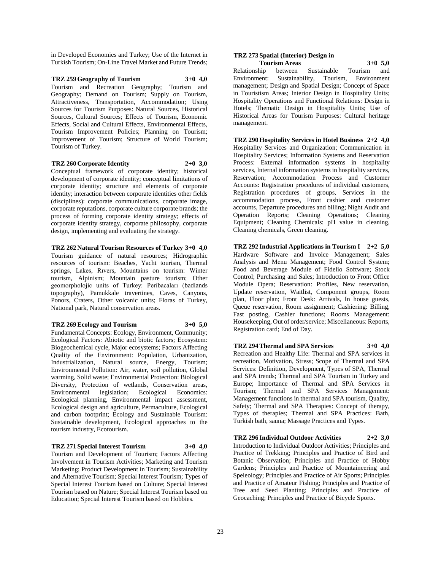in Developed Economies and Turkey; Use of the Internet in Turkish Tourism; On-Line Travel Market and Future Trends;

**TRZ 259 Geography of Tourism 3+0 4,0** Tourism and Recreation Geography; Tourism and Geography; Demand on Tourism; Supply on Tourism, Attractiveness, Transportation, Accommodation; Using Sources for Tourism Purposes: Natural Sources, Historical Sources, Cultural Sources; Effects of Tourism, Economic Effects, Social and Cultural Effects, Environmental Effects, Tourism Improvement Policies; Planning on Tourism; Improvement of Tourism; Structure of World Tourism; Tourism of Turkey.

#### **TRZ 260 Corporate Identity 2+0 3,0**

Conceptual framework of corporate identity; historical development of corporate identity; conceptual limitations of corporate identity; structure and elements of corporate identity; interaction between corporate identities other fields (disciplines): corporate communications, corporate image, corporate reputations, corporate culture corporate brands; the process of forming corporate identity strategy; effects of corporate identity strategy, corporate philosophy, corporate design, implementing and evaluating the strategy.

**TRZ 262 Natural Tourism Resources of Turkey 3+0 4,0** Tourism guidance of natural resources; Hidrographic resources of tourism: Beaches, Yacht tourism, Thermal springs, Lakes, Rıvers, Mountains on tourism: Winter tourism, Alpinism; Mountain pasture tourism; Other geomorpholojic units of Turkey: Peribacaları (badlands topography), Pamukkale travertines, Caves, Canyons, Ponors, Craters, Other volcanic units; Floras of Turkey, National park, Natural conservation areas.

#### **TRZ 269 Ecology and Tourism 3+0 5,0**

Fundamental Concepts: Ecology, Environment, Community; Ecological Factors: Abiotic and biotic factors; Ecosystem: Biogeochemical cycle, Major ecosystems; Factors Affecting Quality of the Environment: Population, Urbanization, Industrialization, Natural source, Energy, Tourism; Environmental Pollution: Air, water, soil pollution, Global warming, Solid waste; Environmental Protection: Biological Diversity, Protection of wetlands, Conservation areas, Environmental legislation; Ecological Economics: Ecological planning, Environmental impact assessment, Ecological design and agriculture, Permaculture, Ecological and carbon footprint; Ecology and Sustainable Tourism: Sustainable development, Ecological approaches to the tourism industry, Ecotourism.

## **TRZ 271 Special Interest Tourism 3+0 4,0**

Tourism and Development of Tourism; Factors Affecting Involvement in Tourism Activities; Marketing and Tourism Marketing; Product Development in Tourism; Sustainability and Alternative Tourism; Special Interest Tourism; Types of Special Interest Tourism based on Culture; Special Interest Tourism based on Nature; Special Interest Tourism based on Education; Special Interest Tourism based on Hobbies.

#### **TRZ 273 Spatial (Interior) Design in Tourism Areas 3+0 5,0**

Relationship between Sustainable Tourism and Environment: Sustainability, Tourism, Environment management; Design and Spatial Design; Concept of Space in Touristism Areas; Interior Design in Hospitality Units; Hospitality Operations and Functional Relations: Design in Hotels; Thematic Design in Hospitality Units; Use of Historical Areas for Tourism Purposes: Cultural heritage management.

**TRZ 290 Hospitality Services in Hotel Business 2+2 4,0** Hospitality Services and Organization; Communication in Hospitality Services; Information Systems and Reservation Process: External information systems in hospitality services, Internal information systems in hospitality services, Reservation; Accommodation Process and Customer Accounts: Registration procedures of individual customers, Registration procedures of groups, Services in the accommodation process, Front cashier and customer accounts, Departure procedures and billing; Night Audit and Operation Reports; Cleaning Operations; Cleaning Equipment; Cleaning Chemicals: pH value in cleaning, Cleaning chemicals, Green cleaning.

**TRZ 292 Industrial Applications in Tourism I 2+2 5,0** Hardware Software and Invoice Management; Sales Analysis and Menu Management; Food Control System; Food and Beverage Module of Fidelio Software; Stock Control; Purchasing and Sales; Introduction to Front Office Module Opera; Reservation: Profiles, New reservation, Update reservation, Waitlist, Component groups, Room plan, Floor plan; Front Desk: Arrivals, In house guests, Queue reservation, Room assignment; Cashiering: Billing, Fast posting, Cashier functions; Rooms Management: Housekeeping, Out of order/service; Miscellaneous: Reports, Registration card; End of Day.

**TRZ 294 Thermal and SPA Services 3+0 4,0** Recreation and Healthy Life: Thermal and SPA services in recreation, Motivation, Stress; Scope of Thermal and SPA Services: Definition, Development, Types of SPA, Thermal and SPA trends; Thermal and SPA Tourism in Turkey and Europe; Importance of Thermal and SPA Services in Tourism; Thermal and SPA Services Management: Management functions in thermal and SPA tourism, Quality, Safety; Thermal and SPA Therapies: Concept of therapy, Types of therapies; Thermal and SPA Practices: Bath, Turkish bath, sauna; Massage Practices and Types.

**TRZ 296 Individual Outdoor Activities 2+2 3,0** Introduction to Individual Outdoor Activities; Principles and Practice of Trekking; Principles and Practice of Bird and Botanic Observation; Principles and Practice of Hobby Gardens; Principles and Practice of Mountaineering and Speleology; Principles and Practice of Air Sports; Principles and Practice of Amateur Fishing; Principles and Practice of Tree and Seed Planting; Principles and Practice of Geocaching; Principles and Practice of Bicycle Sports.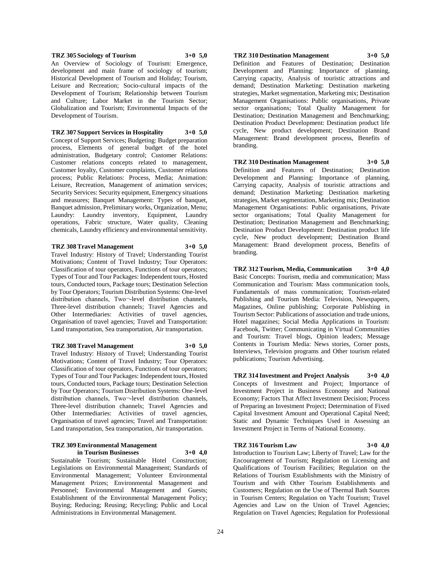#### **TRZ 305 Sociology of Tourism 3+0 5,0**

An Overview of Sociology of Tourism: Emergence, development and main frame of sociology of tourism; Historical Development of Tourism and Holiday; Tourism, Leisure and Recreation; Socio-cultural impacts of the Development of Tourism; Relationship between Tourism and Culture; Labor Market in the Tourism Sector; Globalization and Tourism; Environmental Impacts of the Development of Tourism.

**TRZ 307 Support Services in Hospitality 3+0 5,0** Concept of Support Services; Budgeting: Budget preparation process, Elements of general budget of the hotel administration, Budgetary control; Customer Relations: Customer relations concepts related to management, Customer loyalty, Customer complaints, Customer relations process; Public Relations: Process, Media; Animation: Leisure, Recreation, Management of animation services; Security Services: Security equipment, Emergency situations and measures; Banquet Management: Types of banquet, Banquet admission, Preliminary works, Organization, Menu; Laundry: Laundry inventory, Equipment, Laundry operations, Fabric structure, Water quality, Cleaning chemicals, Laundry efficiency and environmental sensitivity.

#### **TRZ 308 Travel Management 3+0 5,0**

Travel Industry: History of Travel; Understanding Tourist Motivations; Content of Travel Industry; Tour Operators: Classification of tour operators, Functions of tour operators; Types of Tour and Tour Packages: Independent tours, Hosted tours, Conducted tours, Package tours; Destination Selection by Tour Operators; Tourism Distribution Systems: One-level distribution channels, Two--level distribution channels, Three-level distribution channels; Travel Agencies and Other Intermediaries: Activities of travel agencies, Organisation of travel agencies; Travel and Transportation: Land transportation, Sea transportation, Air transportation.

#### **TRZ 308 Travel Management 3+0 5,0**

Travel Industry: History of Travel; Understanding Tourist Motivations; Content of Travel Industry; Tour Operators: Classification of tour operators, Functions of tour operators; Types of Tour and Tour Packages: Independent tours, Hosted tours, Conducted tours, Package tours; Destination Selection by Tour Operators; Tourism Distribution Systems: One-level distribution channels, Two¬-level distribution channels, Three-level distribution channels; Travel Agencies and Other Intermediaries: Activities of travel agencies, Organisation of travel agencies; Travel and Transportation: Land transportation, Sea transportation, Air transportation.

## **TRZ 309 Environmental Management in Tourism Businesses 3+0 4,0**

Sustainable Tourism; Sustainable Hotel Construction; Legislations on Environmental Management; Standards of Environmental Management; Volunteer Environmental Management Prizes; Environmental Management and Personnel; Environmental Management and Guests; Establishment of the Environmental Management Policy; Buying; Reducing; Reusing; Recycling; Public and Local Administrations in Environmental Management.

#### **TRZ 310 Destination Management 3+0 5,0** Definition and Features of Destination; Destination

Development and Planning: Importance of planning, Carrying capacity, Analysis of touristic attractions and demand; Destination Marketing: Destination marketing strategies, Market segmentation, Marketing mix; Destination Management Organisations: Public organisations, Private sector organisations; Total Quality Management for Destination; Destination Management and Benchmarking; Destination Product Development: Destination product life cycle, New product development; Destination Brand Management: Brand development process, Benefits of branding.

## **TRZ 310 Destination Management 3+0 5,0**

Definition and Features of Destination; Destination Development and Planning: Importance of planning, Carrying capacity, Analysis of touristic attractions and demand; Destination Marketing: Destination marketing strategies, Market segmentation, Marketing mix; Destination Management Organisations: Public organisations, Private sector organisations; Total Quality Management for Destination; Destination Management and Benchmarking; Destination Product Development: Destination product life cycle, New product development; Destination Brand Management: Brand development process, Benefits of branding.

**TRZ 312 Tourism, Media, Communication 3+0 4,0** Basic Concepts: Tourism, media and communication; Mass Communication and Tourism: Mass communication tools, Fundamentals of mass communication; Tourism-related Publishing and Tourism Media: Television, Newspapers, Magazines, Online publishing; Corporate Publishing in Tourism Sector: Publications of association and trade unions, Hotel magazines; Social Media Applications in Tourism: Facebook, Twitter; Communicating in Virtual Communities and Tourism: Travel blogs, Opinion leaders; Message Contents in Tourism Media: News stories, Corner posts, Interviews, Television programs and Other tourism related publications; Tourism Advertising.

**TRZ 314 Investment and Project Analysis 3+0 4,0** Concepts of Investment and Project; Importance of Investment Project in Business Economy and National Economy; Factors That Affect Investment Decision; Process of Preparing an Investment Project; Determination of Fixed Capital Investment Amount and Operational Capital Need; Static and Dynamic Techniques Used in Assessing an Investment Project in Terms of National Economy.

#### **TRZ 316 Tourism Law 3+0 4,0**

Introduction to Tourism Law; Liberty of Travel; Law for the Encouragement of Tourism; Regulation on Licensing and Qualifications of Tourism Facilities; Regulation on the Relations of Tourism Establishments with the Ministry of Tourism and with Other Tourism Establishments and Customers; Regulation on the Use of Thermal Bath Sources in Tourism Centers; Regulation on Yacht Tourism; Travel Agencies and Law on the Union of Travel Agencies; Regulation on Travel Agencies; Regulation for Professional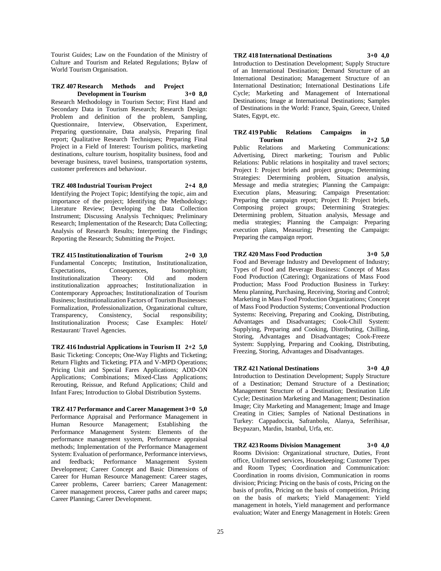Tourist Guides; Law on the Foundation of the Ministry of Culture and Tourism and Related Regulations; Bylaw of World Tourism Organisation.

#### **TRZ 407 Research Methods and Project Development in Tourism 3+0 8,0**

Research Methodology in Tourism Sector; First Hand and Secondary Data in Tourism Research; Research Design: Problem and definition of the problem, Sampling, Questionnaire, Interview, Observation, Experiment, Preparing questionnaire, Data analysis, Preparing final report; Qualitative Research Techniques; Preparing Final Project in a Field of Interest: Tourism politics, marketing destinations, culture tourism, hospitality business, food and beverage business, travel business, transportation systems, customer preferences and behaviour.

**TRZ 408 Industrial Tourism Project 2+4 8,0** Identifying the Project Topic; Identifying the topic, aim and importance of the project; Identifying the Methodology; Literature Review; Developing the Data Collection Instrument; Discussing Analysis Techniques; Preliminary Research; Implementation of the Research; Data Collecting; Analysis of Research Results; Interpreting the Findings; Reporting the Research; Submitting the Project.

**TRZ 415 Institutionalization of Tourism 2+0 3,0** Fundamental Concepts; Institution, Institutionalization, Expectations, Consequences, Isomorphism; Institutionalization Theory: Old and modern institutionalization approaches; Institutionalization in Contemporary Approaches; Institutionalization of Tourism Business; Institutionalization Factors of Tourism Businesses: Formalization, Professionalization, Organizational culture, Transparency, Consistency, Social responsibility; Institutionalization Process; Case Examples: Hotel/ Restaurant/ Travel Agencies.

**TRZ 416 Industrial Applications in Tourism II 2+2 5,0** Basic Ticketing: Concepts; One-Way Flights and Ticketing; Return Flights and Ticketing; PTA and V-MPD Operations; Pricing Unit and Special Fares Applications; ADD-ON Applications; Combinations; Mixed-Class Applications; Rerouting, Reissue, and Refund Applications; Child and Infant Fares; Introduction to Global Distribution Systems.

**TRZ 417 Performance and Career Management 3+0 5,0** Performance Appraisal and Performance Management in Human Resource Management; Establishing the Performance Management System: Elements of the performance management system, Performance appraisal methods; Implementation of the Performance Management System: Evaluation of performance, Performance interviews, and feedback; Performance Management System Development; Career Concept and Basic Dimensions of Career for Human Resource Management: Career stages, Career problems, Career barriers; Career Management: Career management process, Career paths and career maps; Career Planning; Career Development.

# **TRZ 418 International Destinations 3+0 4,0**

Introduction to Destination Development; Supply Structure of an International Destination; Demand Structure of an International Destination; Management Structure of an International Destination; International Destinations Life Cycle; Marketing and Management of International Destinations; Image at International Destinations; Samples of Destinations in the World: France, Spain, Greece, United States, Egypt, etc.

**TRZ 419 Public Relations Campaigns in Tourism 2+2 5,0** Public Relations and Marketing Communications: Advertising, Direct marketing; Tourism and Public Relations: Public relations in hospitality and travel sectors; Project I: Project briefs and project groups; Determining Strategies: Determining problem, Situation analysis, Message and media strategies; Planning the Campaign: Execution plans, Measuring; Campaign Presentation:

Preparing the campaign report; Project II: Project briefs, Composing project groups; Determining Strategies: Determining problem, Situation analysis, Message and media strategies; Planning the Campaign: Preparing execution plans, Measuring; Presenting the Campaign: Preparing the campaign report.

## **TRZ 420 Mass Food Production 3+0 5,0**

Food and Beverage Industry and Development of Industry; Types of Food and Beverage Business: Concept of Mass Food Production (Catering); Organizations of Mass Food Production; Mass Food Production Business in Turkey: Menu planning, Purchasing, Receiving, Storing and Control; Marketing in Mass Food Production Organizations; Concept of Mass Food Production Systems; Conventional Production Systems: Receiving, Preparing and Cooking, Distributing, Advantages and Disadvantages; Cook-Chill System: Supplying, Preparing and Cooking, Distributing, Chilling, Storing, Advantages and Disadvantages; Cook-Freeze System: Supplying, Preparing and Cooking, Distributing, Freezing, Storing, Advantages and Disadvantages.

## **TRZ 421 National Destinations 3+0 4,0**

Introduction to Destination Development; Supply Structure of a Destination; Demand Structure of a Destination; Management Structure of a Destination; Destination Life Cycle; Destination Marketing and Management; Destination Image; City Marketing and Management; Image and Image Creating in Cities; Samples of National Destinations in Turkey: Cappadoccia, Safranbolu, Alanya, Seferihisar, Beypazarı, Mardin, Istanbul, Urfa, etc.

## **TRZ 423 Rooms Division Management 3+0 4,0**

Rooms Division: Organizational structure, Duties, Front office, Uniformed services, Housekeeping; Customer Types and Room Types; Coordination and Communication: Coordination in rooms division, Communication in rooms division; Pricing: Pricing on the basis of costs, Pricing on the basis of profits, Pricing on the basis of competition, Pricing on the basis of markets; Yield Management: Yield management in hotels, Yield management and performance evaluation; Water and Energy Management in Hotels: Green